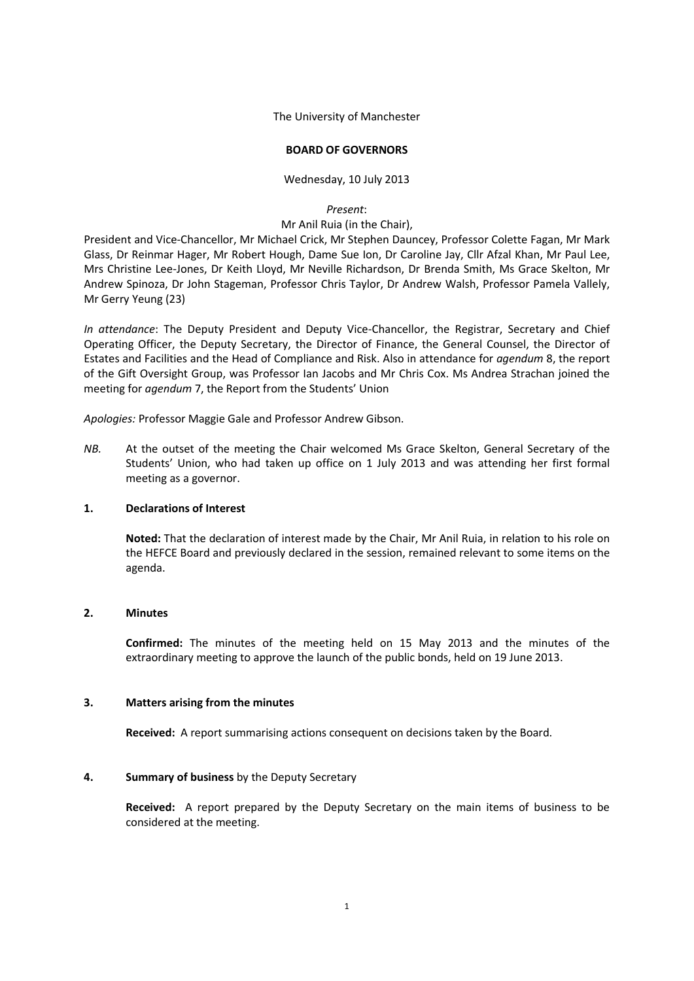The University of Manchester

### **BOARD OF GOVERNORS**

Wednesday, 10 July 2013

### *Present*:

### Mr Anil Ruia (in the Chair),

President and Vice-Chancellor, Mr Michael Crick, Mr Stephen Dauncey, Professor Colette Fagan, Mr Mark Glass, Dr Reinmar Hager, Mr Robert Hough, Dame Sue Ion, Dr Caroline Jay, Cllr Afzal Khan, Mr Paul Lee, Mrs Christine Lee-Jones, Dr Keith Lloyd, Mr Neville Richardson, Dr Brenda Smith, Ms Grace Skelton, Mr Andrew Spinoza, Dr John Stageman, Professor Chris Taylor, Dr Andrew Walsh, Professor Pamela Vallely, Mr Gerry Yeung (23)

*In attendance*: The Deputy President and Deputy Vice-Chancellor, the Registrar, Secretary and Chief Operating Officer, the Deputy Secretary, the Director of Finance, the General Counsel, the Director of Estates and Facilities and the Head of Compliance and Risk. Also in attendance for *agendum* 8, the report of the Gift Oversight Group, was Professor Ian Jacobs and Mr Chris Cox. Ms Andrea Strachan joined the meeting for *agendum* 7, the Report from the Students' Union

*Apologies:* Professor Maggie Gale and Professor Andrew Gibson.

*NB.* At the outset of the meeting the Chair welcomed Ms Grace Skelton, General Secretary of the Students' Union, who had taken up office on 1 July 2013 and was attending her first formal meeting as a governor.

### **1. Declarations of Interest**

**Noted:** That the declaration of interest made by the Chair, Mr Anil Ruia, in relation to his role on the HEFCE Board and previously declared in the session, remained relevant to some items on the agenda.

### **2. Minutes**

**Confirmed:** The minutes of the meeting held on 15 May 2013 and the minutes of the extraordinary meeting to approve the launch of the public bonds, held on 19 June 2013.

### **3. Matters arising from the minutes**

**Received:** A report summarising actions consequent on decisions taken by the Board.

### **4. Summary of business** by the Deputy Secretary

**Received:** A report prepared by the Deputy Secretary on the main items of business to be considered at the meeting.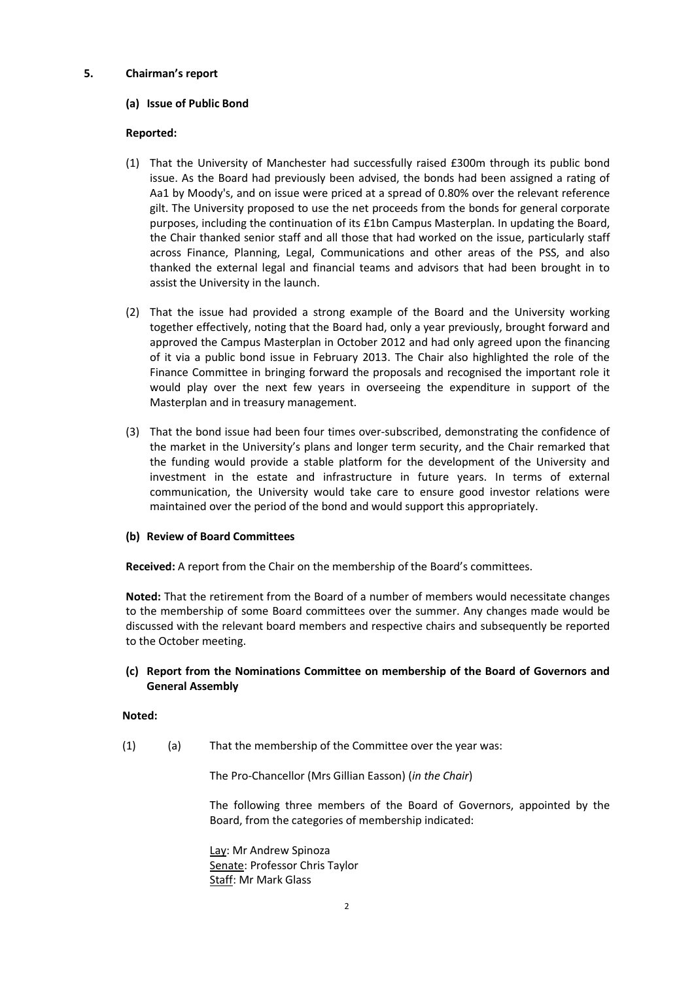## **5. Chairman's report**

## **(a) Issue of Public Bond**

## **Reported:**

- (1) That the University of Manchester had successfully raised £300m through its public bond issue. As the Board had previously been advised, the bonds had been assigned a rating of Aa1 by Moody's, and on issue were priced at a spread of 0.80% over the relevant reference gilt. The University proposed to use the net proceeds from the bonds for general corporate purposes, including the continuation of its £1bn Campus Masterplan. In updating the Board, the Chair thanked senior staff and all those that had worked on the issue, particularly staff across Finance, Planning, Legal, Communications and other areas of the PSS, and also thanked the external legal and financial teams and advisors that had been brought in to assist the University in the launch.
- (2) That the issue had provided a strong example of the Board and the University working together effectively, noting that the Board had, only a year previously, brought forward and approved the Campus Masterplan in October 2012 and had only agreed upon the financing of it via a public bond issue in February 2013. The Chair also highlighted the role of the Finance Committee in bringing forward the proposals and recognised the important role it would play over the next few years in overseeing the expenditure in support of the Masterplan and in treasury management.
- (3) That the bond issue had been four times over-subscribed, demonstrating the confidence of the market in the University's plans and longer term security, and the Chair remarked that the funding would provide a stable platform for the development of the University and investment in the estate and infrastructure in future years. In terms of external communication, the University would take care to ensure good investor relations were maintained over the period of the bond and would support this appropriately.

# **(b) Review of Board Committees**

**Received:** A report from the Chair on the membership of the Board's committees.

**Noted:** That the retirement from the Board of a number of members would necessitate changes to the membership of some Board committees over the summer. Any changes made would be discussed with the relevant board members and respective chairs and subsequently be reported to the October meeting.

# **(c) Report from the Nominations Committee on membership of the Board of Governors and General Assembly**

### **Noted:**

(1) (a) That the membership of the Committee over the year was:

The Pro-Chancellor (Mrs Gillian Easson) (*in the Chair*)

The following three members of the Board of Governors, appointed by the Board, from the categories of membership indicated:

Lay: Mr Andrew Spinoza Senate: Professor Chris Taylor Staff: Mr Mark Glass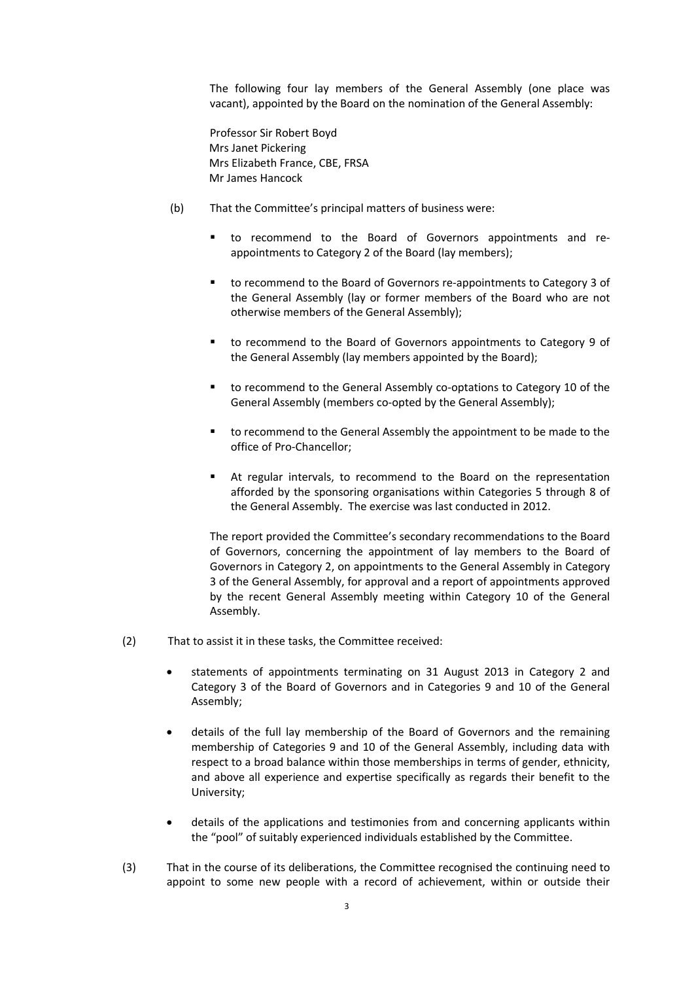The following four lay members of the General Assembly (one place was vacant), appointed by the Board on the nomination of the General Assembly:

Professor Sir Robert Boyd Mrs Janet Pickering Mrs Elizabeth France, CBE, FRSA Mr James Hancock

- (b) That the Committee's principal matters of business were:
	- to recommend to the Board of Governors appointments and reappointments to Category 2 of the Board (lay members);
	- to recommend to the Board of Governors re-appointments to Category 3 of the General Assembly (lay or former members of the Board who are not otherwise members of the General Assembly);
	- to recommend to the Board of Governors appointments to Category 9 of the General Assembly (lay members appointed by the Board);
	- to recommend to the General Assembly co-optations to Category 10 of the General Assembly (members co-opted by the General Assembly);
	- to recommend to the General Assembly the appointment to be made to the office of Pro-Chancellor;
	- At regular intervals, to recommend to the Board on the representation afforded by the sponsoring organisations within Categories 5 through 8 of the General Assembly. The exercise was last conducted in 2012.

The report provided the Committee's secondary recommendations to the Board of Governors, concerning the appointment of lay members to the Board of Governors in Category 2, on appointments to the General Assembly in Category 3 of the General Assembly, for approval and a report of appointments approved by the recent General Assembly meeting within Category 10 of the General Assembly.

- (2) That to assist it in these tasks, the Committee received:
	- statements of appointments terminating on 31 August 2013 in Category 2 and Category 3 of the Board of Governors and in Categories 9 and 10 of the General Assembly;
	- details of the full lay membership of the Board of Governors and the remaining membership of Categories 9 and 10 of the General Assembly, including data with respect to a broad balance within those memberships in terms of gender, ethnicity, and above all experience and expertise specifically as regards their benefit to the University;
	- details of the applications and testimonies from and concerning applicants within the "pool" of suitably experienced individuals established by the Committee.
- (3) That in the course of its deliberations, the Committee recognised the continuing need to appoint to some new people with a record of achievement, within or outside their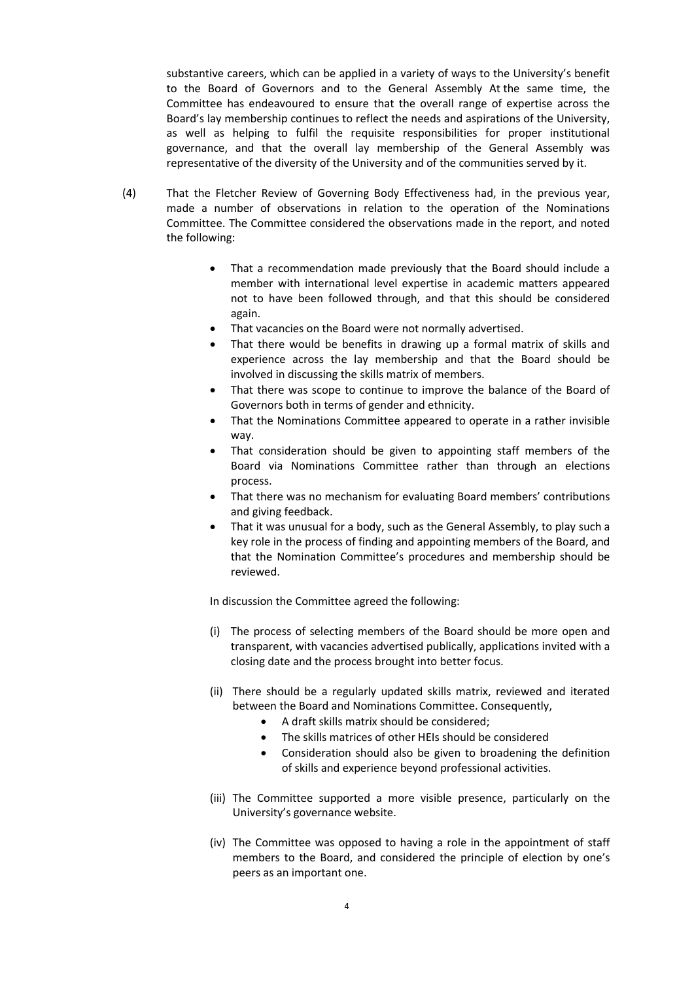substantive careers, which can be applied in a variety of ways to the University's benefit to the Board of Governors and to the General Assembly At the same time, the Committee has endeavoured to ensure that the overall range of expertise across the Board's lay membership continues to reflect the needs and aspirations of the University, as well as helping to fulfil the requisite responsibilities for proper institutional governance, and that the overall lay membership of the General Assembly was representative of the diversity of the University and of the communities served by it.

- (4) That the Fletcher Review of Governing Body Effectiveness had, in the previous year, made a number of observations in relation to the operation of the Nominations Committee. The Committee considered the observations made in the report, and noted the following:
	- That a recommendation made previously that the Board should include a member with international level expertise in academic matters appeared not to have been followed through, and that this should be considered again.
	- That vacancies on the Board were not normally advertised.
	- That there would be benefits in drawing up a formal matrix of skills and experience across the lay membership and that the Board should be involved in discussing the skills matrix of members.
	- That there was scope to continue to improve the balance of the Board of Governors both in terms of gender and ethnicity.
	- That the Nominations Committee appeared to operate in a rather invisible way.
	- That consideration should be given to appointing staff members of the Board via Nominations Committee rather than through an elections process.
	- That there was no mechanism for evaluating Board members' contributions and giving feedback.
	- That it was unusual for a body, such as the General Assembly, to play such a key role in the process of finding and appointing members of the Board, and that the Nomination Committee's procedures and membership should be reviewed.

In discussion the Committee agreed the following:

- (i) The process of selecting members of the Board should be more open and transparent, with vacancies advertised publically, applications invited with a closing date and the process brought into better focus.
- (ii) There should be a regularly updated skills matrix, reviewed and iterated between the Board and Nominations Committee. Consequently,
	- A draft skills matrix should be considered;
	- The skills matrices of other HEIs should be considered
	- Consideration should also be given to broadening the definition of skills and experience beyond professional activities.
- (iii) The Committee supported a more visible presence, particularly on the University's governance website.
- (iv) The Committee was opposed to having a role in the appointment of staff members to the Board, and considered the principle of election by one's peers as an important one.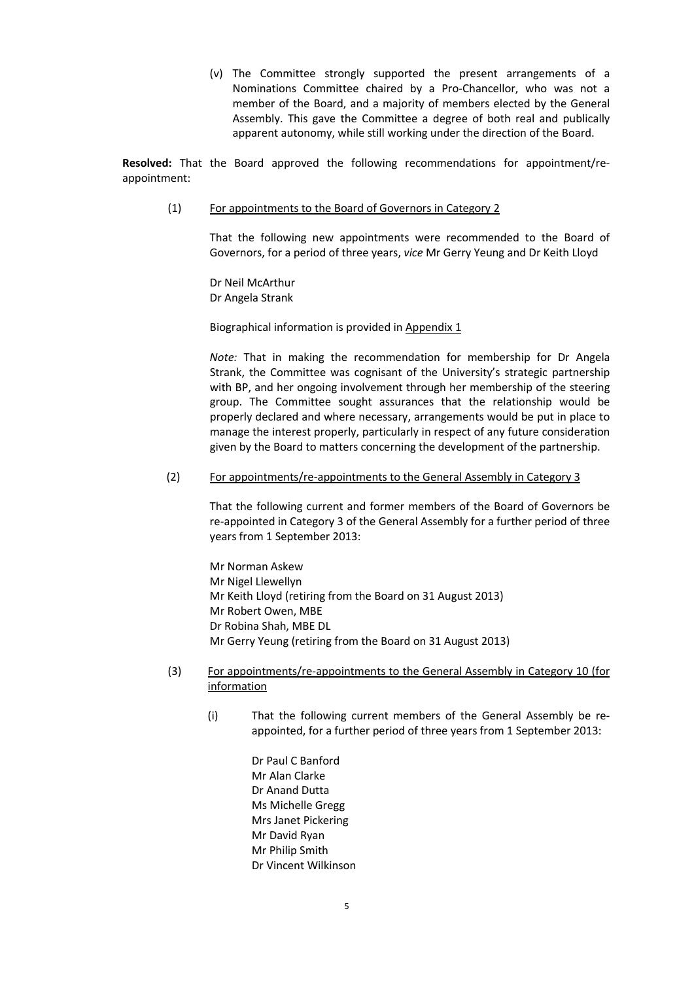(v) The Committee strongly supported the present arrangements of a Nominations Committee chaired by a Pro-Chancellor, who was not a member of the Board, and a majority of members elected by the General Assembly. This gave the Committee a degree of both real and publically apparent autonomy, while still working under the direction of the Board.

**Resolved:** That the Board approved the following recommendations for appointment/reappointment:

(1) For appointments to the Board of Governors in Category 2

That the following new appointments were recommended to the Board of Governors, for a period of three years, *vice* Mr Gerry Yeung and Dr Keith Lloyd

Dr Neil McArthur Dr Angela Strank

Biographical information is provided in Appendix 1

*Note:* That in making the recommendation for membership for Dr Angela Strank, the Committee was cognisant of the University's strategic partnership with BP, and her ongoing involvement through her membership of the steering group. The Committee sought assurances that the relationship would be properly declared and where necessary, arrangements would be put in place to manage the interest properly, particularly in respect of any future consideration given by the Board to matters concerning the development of the partnership.

### (2) For appointments/re-appointments to the General Assembly in Category 3

That the following current and former members of the Board of Governors be re-appointed in Category 3 of the General Assembly for a further period of three years from 1 September 2013:

Mr Norman Askew Mr Nigel Llewellyn Mr Keith Lloyd (retiring from the Board on 31 August 2013) Mr Robert Owen, MBE Dr Robina Shah, MBE DL Mr Gerry Yeung (retiring from the Board on 31 August 2013)

- (3) For appointments/re-appointments to the General Assembly in Category 10 (for information
	- (i) That the following current members of the General Assembly be reappointed, for a further period of three years from 1 September 2013:

Dr Paul C Banford Mr Alan Clarke Dr Anand Dutta Ms Michelle Gregg Mrs Janet Pickering Mr David Ryan Mr Philip Smith Dr Vincent Wilkinson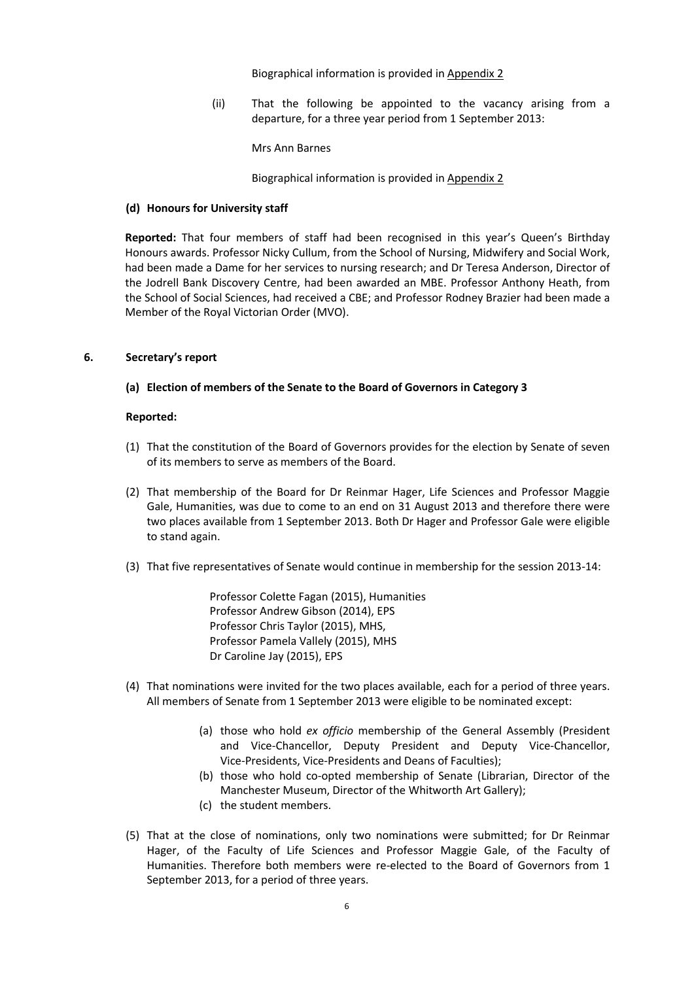Biographical information is provided in Appendix 2

(ii) That the following be appointed to the vacancy arising from a departure, for a three year period from 1 September 2013:

Mrs Ann Barnes

Biographical information is provided in Appendix 2

### **(d) Honours for University staff**

**Reported:** That four members of staff had been recognised in this year's Queen's Birthday Honours awards. Professor Nicky Cullum, from the School of Nursing, Midwifery and Social Work, had been made a Dame for her services to nursing research; and Dr Teresa Anderson, Director of the Jodrell Bank Discovery Centre, had been awarded an MBE. Professor Anthony Heath, from the School of Social Sciences, had received a CBE; and Professor Rodney Brazier had been made a Member of the Royal Victorian Order (MVO).

### **6. Secretary's report**

**(a) Election of members of the Senate to the Board of Governors in Category 3**

### **Reported:**

- (1) That the constitution of the Board of Governors provides for the election by Senate of seven of its members to serve as members of the Board.
- (2) That membership of the Board for Dr Reinmar Hager, Life Sciences and Professor Maggie Gale, Humanities, was due to come to an end on 31 August 2013 and therefore there were two places available from 1 September 2013. Both Dr Hager and Professor Gale were eligible to stand again.
- (3) That five representatives of Senate would continue in membership for the session 2013-14:

Professor Colette Fagan (2015), Humanities Professor Andrew Gibson (2014), EPS Professor Chris Taylor (2015), MHS, Professor Pamela Vallely (2015), MHS Dr Caroline Jay (2015), EPS

- (4) That nominations were invited for the two places available, each for a period of three years. All members of Senate from 1 September 2013 were eligible to be nominated except:
	- (a) those who hold *ex officio* membership of the General Assembly (President and Vice-Chancellor, Deputy President and Deputy Vice-Chancellor, Vice-Presidents, Vice-Presidents and Deans of Faculties);
	- (b) those who hold co-opted membership of Senate (Librarian, Director of the Manchester Museum, Director of the Whitworth Art Gallery);
	- (c) the student members.
- (5) That at the close of nominations, only two nominations were submitted; for Dr Reinmar Hager, of the Faculty of Life Sciences and Professor Maggie Gale, of the Faculty of Humanities. Therefore both members were re-elected to the Board of Governors from 1 September 2013, for a period of three years.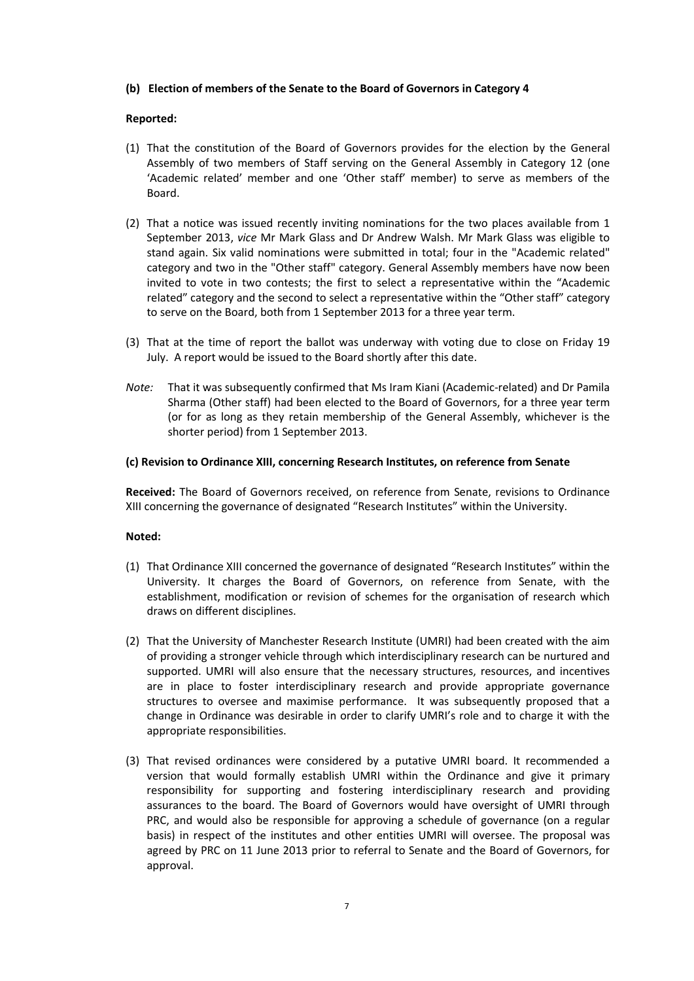### **(b) Election of members of the Senate to the Board of Governors in Category 4**

### **Reported:**

- (1) That the constitution of the Board of Governors provides for the election by the General Assembly of two members of Staff serving on the General Assembly in Category 12 (one 'Academic related' member and one 'Other staff' member) to serve as members of the Board.
- (2) That a notice was issued recently inviting nominations for the two places available from 1 September 2013, *vice* Mr Mark Glass and Dr Andrew Walsh. Mr Mark Glass was eligible to stand again. Six valid nominations were submitted in total; four in the "Academic related" category and two in the "Other staff" category. General Assembly members have now been invited to vote in two contests; the first to select a representative within the "Academic related" category and the second to select a representative within the "Other staff" category to serve on the Board, both from 1 September 2013 for a three year term.
- (3) That at the time of report the ballot was underway with voting due to close on Friday 19 July. A report would be issued to the Board shortly after this date.
- *Note:* That it was subsequently confirmed that Ms Iram Kiani (Academic-related) and Dr Pamila Sharma (Other staff) had been elected to the Board of Governors, for a three year term (or for as long as they retain membership of the General Assembly, whichever is the shorter period) from 1 September 2013.

#### **(c) Revision to Ordinance XIII, concerning Research Institutes, on reference from Senate**

**Received:** The Board of Governors received, on reference from Senate, revisions to Ordinance XIII concerning the governance of designated "Research Institutes" within the University.

#### **Noted:**

- (1) That Ordinance XIII concerned the governance of designated "Research Institutes" within the University. It charges the Board of Governors, on reference from Senate, with the establishment, modification or revision of schemes for the organisation of research which draws on different disciplines.
- (2) That the University of Manchester Research Institute (UMRI) had been created with the aim of providing a stronger vehicle through which interdisciplinary research can be nurtured and supported. UMRI will also ensure that the necessary structures, resources, and incentives are in place to foster interdisciplinary research and provide appropriate governance structures to oversee and maximise performance. It was subsequently proposed that a change in Ordinance was desirable in order to clarify UMRI's role and to charge it with the appropriate responsibilities.
- (3) That revised ordinances were considered by a putative UMRI board. It recommended a version that would formally establish UMRI within the Ordinance and give it primary responsibility for supporting and fostering interdisciplinary research and providing assurances to the board. The Board of Governors would have oversight of UMRI through PRC, and would also be responsible for approving a schedule of governance (on a regular basis) in respect of the institutes and other entities UMRI will oversee. The proposal was agreed by PRC on 11 June 2013 prior to referral to Senate and the Board of Governors, for approval.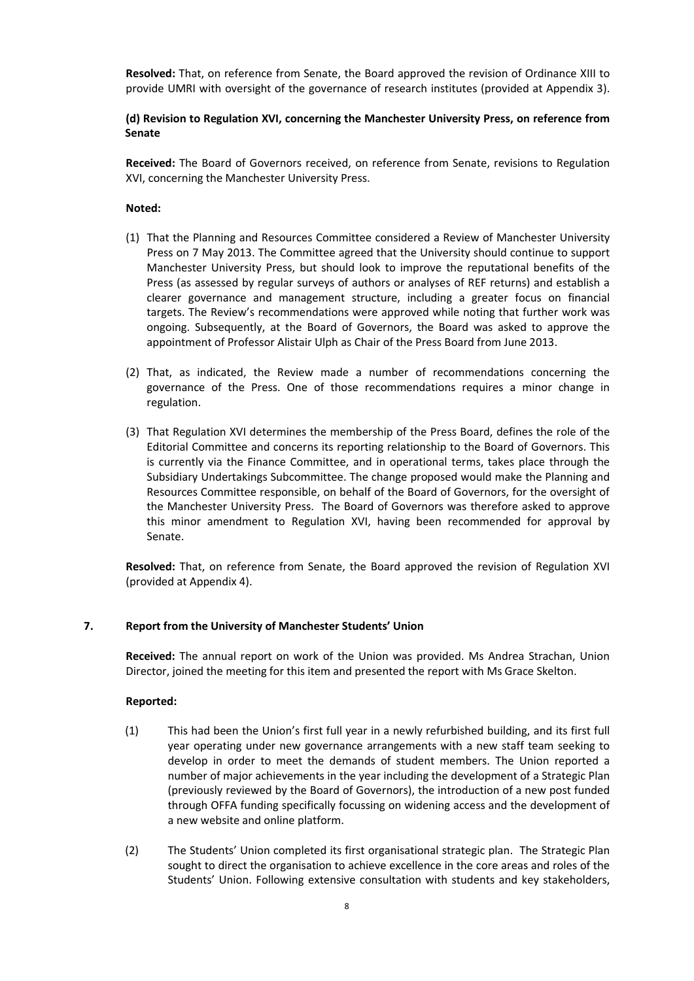**Resolved:** That, on reference from Senate, the Board approved the revision of Ordinance XIII to provide UMRI with oversight of the governance of research institutes (provided at Appendix 3).

# **(d) Revision to Regulation XVI, concerning the Manchester University Press, on reference from Senate**

**Received:** The Board of Governors received, on reference from Senate, revisions to Regulation XVI, concerning the Manchester University Press.

### **Noted:**

- (1) That the Planning and Resources Committee considered a Review of Manchester University Press on 7 May 2013. The Committee agreed that the University should continue to support Manchester University Press, but should look to improve the reputational benefits of the Press (as assessed by regular surveys of authors or analyses of REF returns) and establish a clearer governance and management structure, including a greater focus on financial targets. The Review's recommendations were approved while noting that further work was ongoing. Subsequently, at the Board of Governors, the Board was asked to approve the appointment of Professor Alistair Ulph as Chair of the Press Board from June 2013.
- (2) That, as indicated, the Review made a number of recommendations concerning the governance of the Press. One of those recommendations requires a minor change in regulation.
- (3) That Regulation XVI determines the membership of the Press Board, defines the role of the Editorial Committee and concerns its reporting relationship to the Board of Governors. This is currently via the Finance Committee, and in operational terms, takes place through the Subsidiary Undertakings Subcommittee. The change proposed would make the Planning and Resources Committee responsible, on behalf of the Board of Governors, for the oversight of the Manchester University Press. The Board of Governors was therefore asked to approve this minor amendment to Regulation XVI, having been recommended for approval by Senate.

**Resolved:** That, on reference from Senate, the Board approved the revision of Regulation XVI (provided at Appendix 4).

# **7. Report from the University of Manchester Students' Union**

**Received:** The annual report on work of the Union was provided. Ms Andrea Strachan, Union Director, joined the meeting for this item and presented the report with Ms Grace Skelton.

#### **Reported:**

- (1) This had been the Union's first full year in a newly refurbished building, and its first full year operating under new governance arrangements with a new staff team seeking to develop in order to meet the demands of student members. The Union reported a number of major achievements in the year including the development of a Strategic Plan (previously reviewed by the Board of Governors), the introduction of a new post funded through OFFA funding specifically focussing on widening access and the development of a new website and online platform.
- (2) The Students' Union completed its first organisational strategic plan. The Strategic Plan sought to direct the organisation to achieve excellence in the core areas and roles of the Students' Union. Following extensive consultation with students and key stakeholders,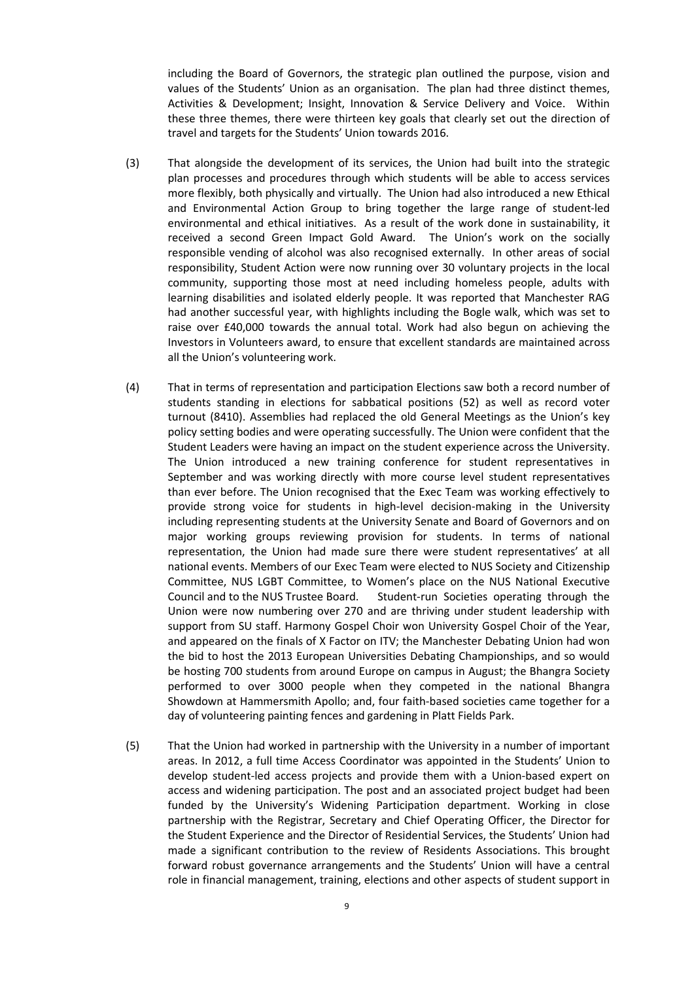including the Board of Governors, the strategic plan outlined the purpose, vision and values of the Students' Union as an organisation. The plan had three distinct themes, Activities & Development; Insight, Innovation & Service Delivery and Voice. Within these three themes, there were thirteen key goals that clearly set out the direction of travel and targets for the Students' Union towards 2016.

- (3) That alongside the development of its services, the Union had built into the strategic plan processes and procedures through which students will be able to access services more flexibly, both physically and virtually. The Union had also introduced a new Ethical and Environmental Action Group to bring together the large range of student-led environmental and ethical initiatives. As a result of the work done in sustainability, it received a second Green Impact Gold Award. The Union's work on the socially responsible vending of alcohol was also recognised externally. In other areas of social responsibility, Student Action were now running over 30 voluntary projects in the local community, supporting those most at need including homeless people, adults with learning disabilities and isolated elderly people. It was reported that Manchester RAG had another successful year, with highlights including the Bogle walk, which was set to raise over £40,000 towards the annual total. Work had also begun on achieving the Investors in Volunteers award, to ensure that excellent standards are maintained across all the Union's volunteering work.
- (4) That in terms of representation and participation Elections saw both a record number of students standing in elections for sabbatical positions (52) as well as record voter turnout (8410). Assemblies had replaced the old General Meetings as the Union's key policy setting bodies and were operating successfully. The Union were confident that the Student Leaders were having an impact on the student experience across the University. The Union introduced a new training conference for student representatives in September and was working directly with more course level student representatives than ever before. The Union recognised that the Exec Team was working effectively to provide strong voice for students in high-level decision-making in the University including representing students at the University Senate and Board of Governors and on major working groups reviewing provision for students. In terms of national representation, the Union had made sure there were student representatives' at all national events. Members of our Exec Team were elected to NUS Society and Citizenship Committee, NUS LGBT Committee, to Women's place on the NUS National Executive Council and to the NUS Trustee Board. Student-run Societies operating through the Union were now numbering over 270 and are thriving under student leadership with support from SU staff. Harmony Gospel Choir won University Gospel Choir of the Year, and appeared on the finals of X Factor on ITV; the Manchester Debating Union had won the bid to host the 2013 European Universities Debating Championships, and so would be hosting 700 students from around Europe on campus in August; the Bhangra Society performed to over 3000 people when they competed in the national Bhangra Showdown at Hammersmith Apollo; and, four faith-based societies came together for a day of volunteering painting fences and gardening in Platt Fields Park.
- (5) That the Union had worked in partnership with the University in a number of important areas. In 2012, a full time Access Coordinator was appointed in the Students' Union to develop student-led access projects and provide them with a Union-based expert on access and widening participation. The post and an associated project budget had been funded by the University's Widening Participation department. Working in close partnership with the Registrar, Secretary and Chief Operating Officer, the Director for the Student Experience and the Director of Residential Services, the Students' Union had made a significant contribution to the review of Residents Associations. This brought forward robust governance arrangements and the Students' Union will have a central role in financial management, training, elections and other aspects of student support in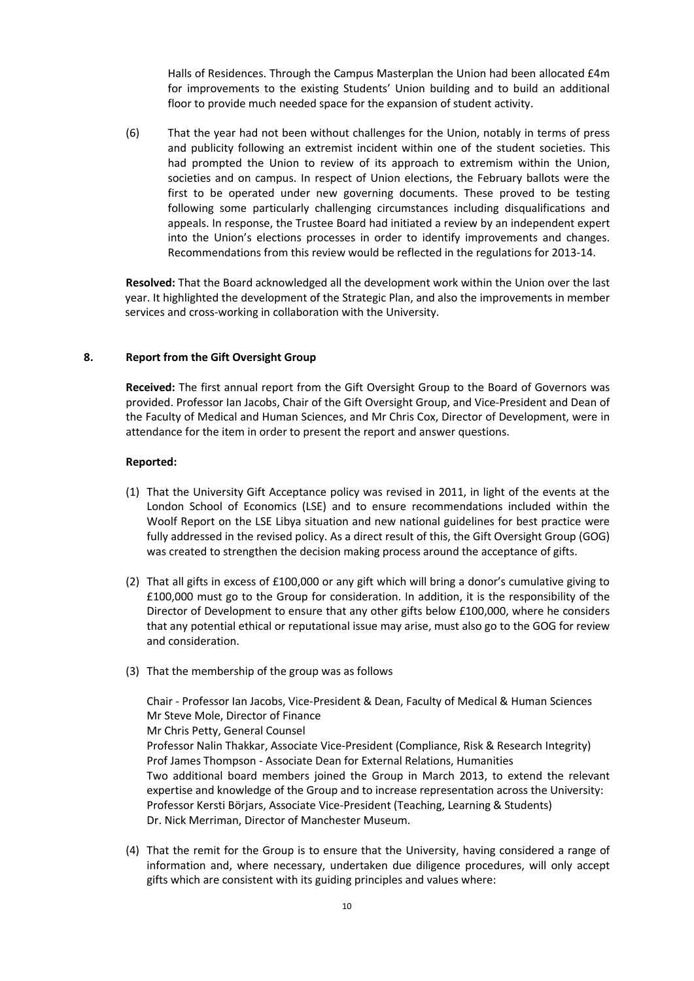Halls of Residences. Through the Campus Masterplan the Union had been allocated £4m for improvements to the existing Students' Union building and to build an additional floor to provide much needed space for the expansion of student activity.

(6) That the year had not been without challenges for the Union, notably in terms of press and publicity following an extremist incident within one of the student societies. This had prompted the Union to review of its approach to extremism within the Union, societies and on campus. In respect of Union elections, the February ballots were the first to be operated under new governing documents. These proved to be testing following some particularly challenging circumstances including disqualifications and appeals. In response, the Trustee Board had initiated a review by an independent expert into the Union's elections processes in order to identify improvements and changes. Recommendations from this review would be reflected in the regulations for 2013-14.

**Resolved:** That the Board acknowledged all the development work within the Union over the last year. It highlighted the development of the Strategic Plan, and also the improvements in member services and cross-working in collaboration with the University.

### **8. Report from the Gift Oversight Group**

**Received:** The first annual report from the Gift Oversight Group to the Board of Governors was provided. Professor Ian Jacobs, Chair of the Gift Oversight Group, and Vice-President and Dean of the Faculty of Medical and Human Sciences, and Mr Chris Cox, Director of Development, were in attendance for the item in order to present the report and answer questions.

#### **Reported:**

- (1) That the University Gift Acceptance policy was revised in 2011, in light of the events at the London School of Economics (LSE) and to ensure recommendations included within the Woolf Report on the LSE Libya situation and new national guidelines for best practice were fully addressed in the revised policy. As a direct result of this, the Gift Oversight Group (GOG) was created to strengthen the decision making process around the acceptance of gifts.
- (2) That all gifts in excess of £100,000 or any gift which will bring a donor's cumulative giving to £100,000 must go to the Group for consideration. In addition, it is the responsibility of the Director of Development to ensure that any other gifts below £100,000, where he considers that any potential ethical or reputational issue may arise, must also go to the GOG for review and consideration.
- (3) That the membership of the group was as follows

Chair - Professor Ian Jacobs, Vice-President & Dean, Faculty of Medical & Human Sciences Mr Steve Mole, Director of Finance Mr Chris Petty, General Counsel Professor Nalin Thakkar, Associate Vice-President (Compliance, Risk & Research Integrity) Prof James Thompson - Associate Dean for External Relations, Humanities Two additional board members joined the Group in March 2013, to extend the relevant expertise and knowledge of the Group and to increase representation across the University: Professor Kersti Börjars, Associate Vice-President (Teaching, Learning & Students) Dr. Nick Merriman, Director of Manchester Museum.

(4) That the remit for the Group is to ensure that the University, having considered a range of information and, where necessary, undertaken due diligence procedures, will only accept gifts which are consistent with its guiding principles and values where: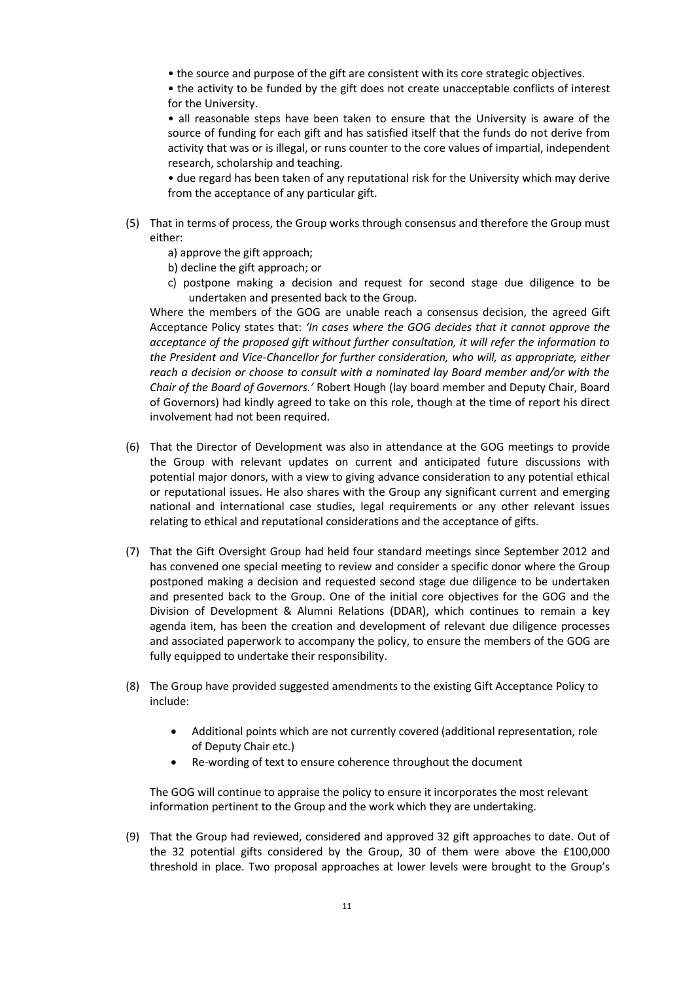• the source and purpose of the gift are consistent with its core strategic objectives.

• the activity to be funded by the gift does not create unacceptable conflicts of interest for the University.

• all reasonable steps have been taken to ensure that the University is aware of the source of funding for each gift and has satisfied itself that the funds do not derive from activity that was or is illegal, or runs counter to the core values of impartial, independent research, scholarship and teaching.

• due regard has been taken of any reputational risk for the University which may derive from the acceptance of any particular gift.

- (5) That in terms of process, the Group works through consensus and therefore the Group must either:
	- a) approve the gift approach;
	- b) decline the gift approach; or
	- c) postpone making a decision and request for second stage due diligence to be undertaken and presented back to the Group.

Where the members of the GOG are unable reach a consensus decision, the agreed Gift Acceptance Policy states that: *'In cases where the GOG decides that it cannot approve the acceptance of the proposed gift without further consultation, it will refer the information to the President and Vice-Chancellor for further consideration, who will, as appropriate, either reach a decision or choose to consult with a nominated lay Board member and/or with the Chair of the Board of Governors.'* Robert Hough (lay board member and Deputy Chair, Board of Governors) had kindly agreed to take on this role, though at the time of report his direct involvement had not been required.

- (6) That the Director of Development was also in attendance at the GOG meetings to provide the Group with relevant updates on current and anticipated future discussions with potential major donors, with a view to giving advance consideration to any potential ethical or reputational issues. He also shares with the Group any significant current and emerging national and international case studies, legal requirements or any other relevant issues relating to ethical and reputational considerations and the acceptance of gifts.
- (7) That the Gift Oversight Group had held four standard meetings since September 2012 and has convened one special meeting to review and consider a specific donor where the Group postponed making a decision and requested second stage due diligence to be undertaken and presented back to the Group. One of the initial core objectives for the GOG and the Division of Development & Alumni Relations (DDAR), which continues to remain a key agenda item, has been the creation and development of relevant due diligence processes and associated paperwork to accompany the policy, to ensure the members of the GOG are fully equipped to undertake their responsibility.
- (8) The Group have provided suggested amendments to the existing Gift Acceptance Policy to include:
	- Additional points which are not currently covered (additional representation, role of Deputy Chair etc.)
	- Re-wording of text to ensure coherence throughout the document

The GOG will continue to appraise the policy to ensure it incorporates the most relevant information pertinent to the Group and the work which they are undertaking.

(9) That the Group had reviewed, considered and approved 32 gift approaches to date. Out of the 32 potential gifts considered by the Group, 30 of them were above the £100,000 threshold in place. Two proposal approaches at lower levels were brought to the Group's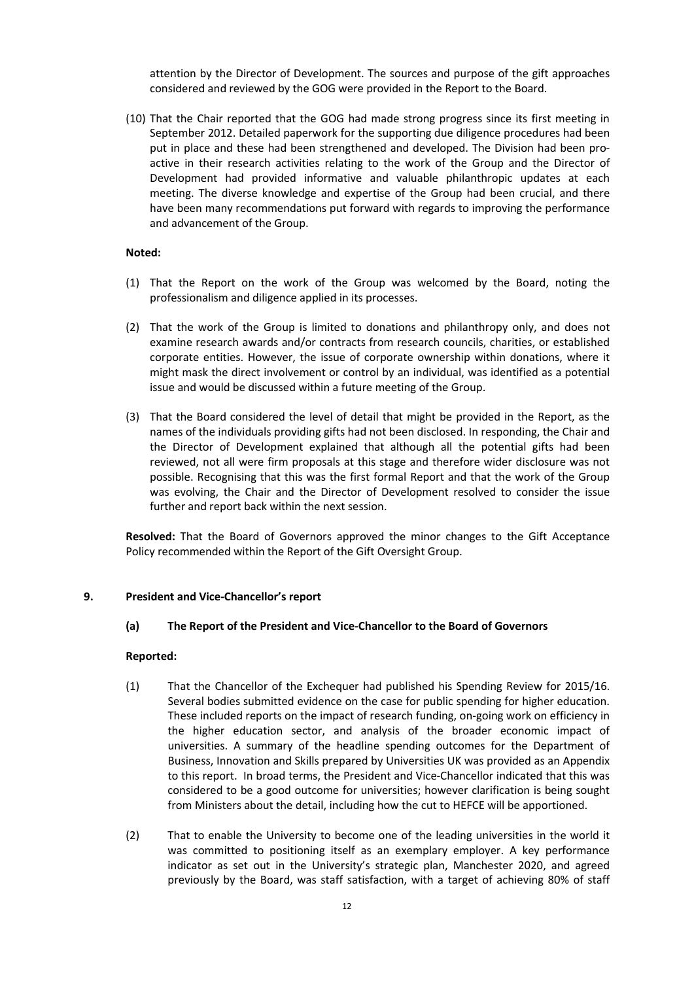attention by the Director of Development. The sources and purpose of the gift approaches considered and reviewed by the GOG were provided in the Report to the Board.

(10) That the Chair reported that the GOG had made strong progress since its first meeting in September 2012. Detailed paperwork for the supporting due diligence procedures had been put in place and these had been strengthened and developed. The Division had been proactive in their research activities relating to the work of the Group and the Director of Development had provided informative and valuable philanthropic updates at each meeting. The diverse knowledge and expertise of the Group had been crucial, and there have been many recommendations put forward with regards to improving the performance and advancement of the Group.

### **Noted:**

- (1) That the Report on the work of the Group was welcomed by the Board, noting the professionalism and diligence applied in its processes.
- (2) That the work of the Group is limited to donations and philanthropy only, and does not examine research awards and/or contracts from research councils, charities, or established corporate entities. However, the issue of corporate ownership within donations, where it might mask the direct involvement or control by an individual, was identified as a potential issue and would be discussed within a future meeting of the Group.
- (3) That the Board considered the level of detail that might be provided in the Report, as the names of the individuals providing gifts had not been disclosed. In responding, the Chair and the Director of Development explained that although all the potential gifts had been reviewed, not all were firm proposals at this stage and therefore wider disclosure was not possible. Recognising that this was the first formal Report and that the work of the Group was evolving, the Chair and the Director of Development resolved to consider the issue further and report back within the next session.

**Resolved:** That the Board of Governors approved the minor changes to the Gift Acceptance Policy recommended within the Report of the Gift Oversight Group.

### **9. President and Vice-Chancellor's report**

### **(a) The Report of the President and Vice-Chancellor to the Board of Governors**

#### **Reported:**

- (1) That the Chancellor of the Exchequer had published his Spending Review for 2015/16. Several bodies submitted evidence on the case for public spending for higher education. These included reports on the impact of research funding, on-going work on efficiency in the higher education sector, and analysis of the broader economic impact of universities. A summary of the headline spending outcomes for the Department of Business, Innovation and Skills prepared by Universities UK was provided as an Appendix to this report. In broad terms, the President and Vice-Chancellor indicated that this was considered to be a good outcome for universities; however clarification is being sought from Ministers about the detail, including how the cut to HEFCE will be apportioned.
- (2) That to enable the University to become one of the leading universities in the world it was committed to positioning itself as an exemplary employer. A key performance indicator as set out in the University's strategic plan, Manchester 2020, and agreed previously by the Board, was staff satisfaction, with a target of achieving 80% of staff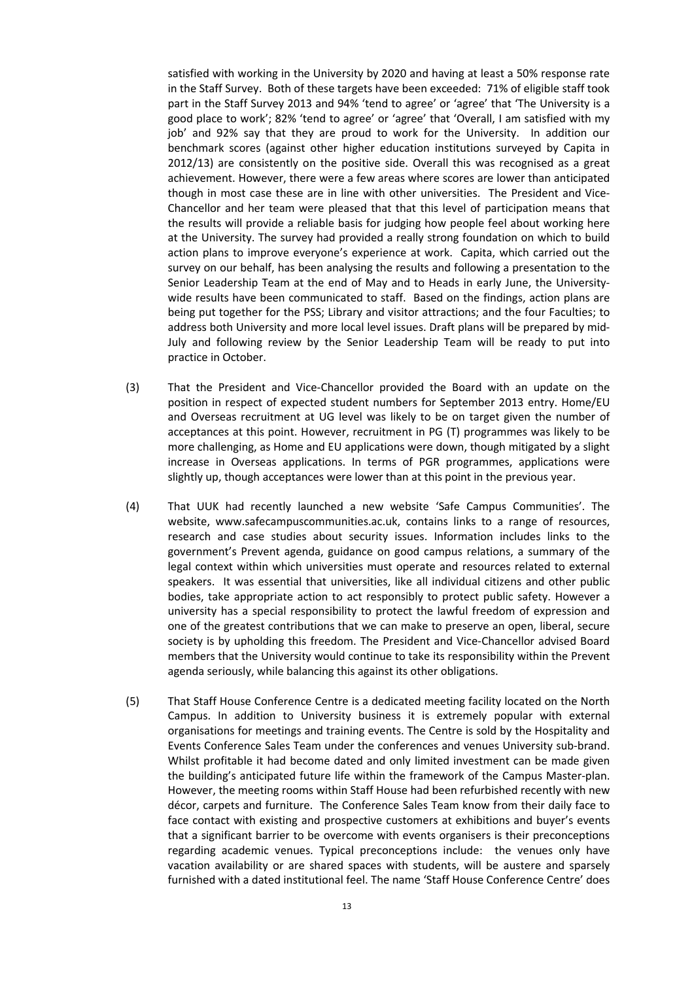satisfied with working in the University by 2020 and having at least a 50% response rate in the Staff Survey. Both of these targets have been exceeded: 71% of eligible staff took part in the Staff Survey 2013 and 94% 'tend to agree' or 'agree' that 'The University is a good place to work'; 82% 'tend to agree' or 'agree' that 'Overall, I am satisfied with my job' and 92% say that they are proud to work for the University. In addition our benchmark scores (against other higher education institutions surveyed by Capita in 2012/13) are consistently on the positive side. Overall this was recognised as a great achievement. However, there were a few areas where scores are lower than anticipated though in most case these are in line with other universities. The President and Vice-Chancellor and her team were pleased that that this level of participation means that the results will provide a reliable basis for judging how people feel about working here at the University. The survey had provided a really strong foundation on which to build action plans to improve everyone's experience at work. Capita, which carried out the survey on our behalf, has been analysing the results and following a presentation to the Senior Leadership Team at the end of May and to Heads in early June, the Universitywide results have been communicated to staff. Based on the findings, action plans are being put together for the PSS; Library and visitor attractions; and the four Faculties; to address both University and more local level issues. Draft plans will be prepared by mid-July and following review by the Senior Leadership Team will be ready to put into practice in October.

- (3) That the President and Vice-Chancellor provided the Board with an update on the position in respect of expected student numbers for September 2013 entry. Home/EU and Overseas recruitment at UG level was likely to be on target given the number of acceptances at this point. However, recruitment in PG (T) programmes was likely to be more challenging, as Home and EU applications were down, though mitigated by a slight increase in Overseas applications. In terms of PGR programmes, applications were slightly up, though acceptances were lower than at this point in the previous year.
- (4) That UUK had recently launched a new website 'Safe Campus Communities'. The website, www.safecampuscommunities.ac.uk, contains links to a range of resources, research and case studies about security issues. Information includes links to the government's Prevent agenda, guidance on good campus relations, a summary of the legal context within which universities must operate and resources related to external speakers. It was essential that universities, like all individual citizens and other public bodies, take appropriate action to act responsibly to protect public safety. However a university has a special responsibility to protect the lawful freedom of expression and one of the greatest contributions that we can make to preserve an open, liberal, secure society is by upholding this freedom. The President and Vice-Chancellor advised Board members that the University would continue to take its responsibility within the Prevent agenda seriously, while balancing this against its other obligations.
- (5) That Staff House Conference Centre is a dedicated meeting facility located on the North Campus. In addition to University business it is extremely popular with external organisations for meetings and training events. The Centre is sold by the Hospitality and Events Conference Sales Team under the conferences and venues University sub-brand. Whilst profitable it had become dated and only limited investment can be made given the building's anticipated future life within the framework of the Campus Master-plan. However, the meeting rooms within Staff House had been refurbished recently with new décor, carpets and furniture. The Conference Sales Team know from their daily face to face contact with existing and prospective customers at exhibitions and buyer's events that a significant barrier to be overcome with events organisers is their preconceptions regarding academic venues. Typical preconceptions include: the venues only have vacation availability or are shared spaces with students, will be austere and sparsely furnished with a dated institutional feel. The name 'Staff House Conference Centre' does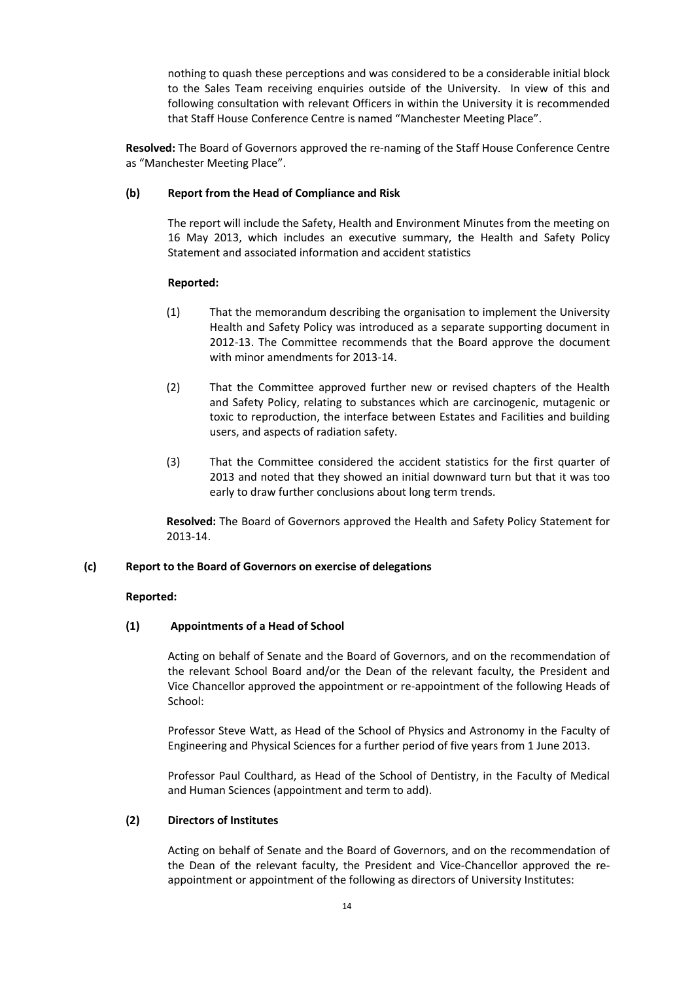nothing to quash these perceptions and was considered to be a considerable initial block to the Sales Team receiving enquiries outside of the University. In view of this and following consultation with relevant Officers in within the University it is recommended that Staff House Conference Centre is named "Manchester Meeting Place".

**Resolved:** The Board of Governors approved the re-naming of the Staff House Conference Centre as "Manchester Meeting Place".

# **(b) Report from the Head of Compliance and Risk**

The report will include the Safety, Health and Environment Minutes from the meeting on 16 May 2013, which includes an executive summary, the Health and Safety Policy Statement and associated information and accident statistics

# **Reported:**

- (1) That the memorandum describing the organisation to implement the University Health and Safety Policy was introduced as a separate supporting document in 2012-13. The Committee recommends that the Board approve the document with minor amendments for 2013-14.
- (2) That the Committee approved further new or revised chapters of the Health and Safety Policy, relating to substances which are carcinogenic, mutagenic or toxic to reproduction, the interface between Estates and Facilities and building users, and aspects of radiation safety.
- (3) That the Committee considered the accident statistics for the first quarter of 2013 and noted that they showed an initial downward turn but that it was too early to draw further conclusions about long term trends.

**Resolved:** The Board of Governors approved the Health and Safety Policy Statement for 2013-14.

# **(c) Report to the Board of Governors on exercise of delegations**

# **Reported:**

# **(1) Appointments of a Head of School**

Acting on behalf of Senate and the Board of Governors, and on the recommendation of the relevant School Board and/or the Dean of the relevant faculty, the President and Vice Chancellor approved the appointment or re-appointment of the following Heads of School:

Professor Steve Watt, as Head of the School of Physics and Astronomy in the Faculty of Engineering and Physical Sciences for a further period of five years from 1 June 2013.

Professor Paul Coulthard, as Head of the School of Dentistry, in the Faculty of Medical and Human Sciences (appointment and term to add).

# **(2) Directors of Institutes**

Acting on behalf of Senate and the Board of Governors, and on the recommendation of the Dean of the relevant faculty, the President and Vice-Chancellor approved the reappointment or appointment of the following as directors of University Institutes: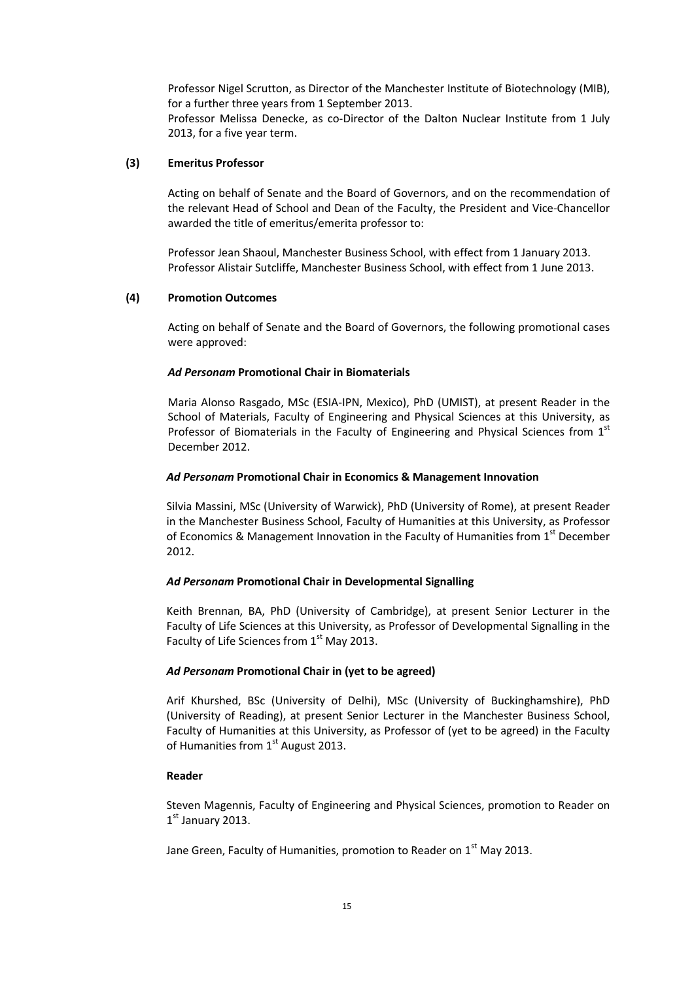Professor Nigel Scrutton, as Director of the Manchester Institute of Biotechnology (MIB), for a further three years from 1 September 2013.

Professor Melissa Denecke, as co-Director of the Dalton Nuclear Institute from 1 July 2013, for a five year term.

## **(3) Emeritus Professor**

Acting on behalf of Senate and the Board of Governors, and on the recommendation of the relevant Head of School and Dean of the Faculty, the President and Vice-Chancellor awarded the title of emeritus/emerita professor to:

Professor Jean Shaoul, Manchester Business School, with effect from 1 January 2013. Professor Alistair Sutcliffe, Manchester Business School, with effect from 1 June 2013.

### **(4) Promotion Outcomes**

Acting on behalf of Senate and the Board of Governors, the following promotional cases were approved:

### *Ad Personam* **Promotional Chair in Biomaterials**

Maria Alonso Rasgado, MSc (ESIA-IPN, Mexico), PhD (UMIST), at present Reader in the School of Materials, Faculty of Engineering and Physical Sciences at this University, as Professor of Biomaterials in the Faculty of Engineering and Physical Sciences from  $1<sup>st</sup>$ December 2012.

#### *Ad Personam* **Promotional Chair in Economics & Management Innovation**

Silvia Massini, MSc (University of Warwick), PhD (University of Rome), at present Reader in the Manchester Business School, Faculty of Humanities at this University, as Professor of Economics & Management Innovation in the Faculty of Humanities from  $1<sup>st</sup>$  December 2012.

#### *Ad Personam* **Promotional Chair in Developmental Signalling**

Keith Brennan, BA, PhD (University of Cambridge), at present Senior Lecturer in the Faculty of Life Sciences at this University, as Professor of Developmental Signalling in the Faculty of Life Sciences from  $1<sup>st</sup>$  May 2013.

## *Ad Personam* **Promotional Chair in (yet to be agreed)**

Arif Khurshed, BSc (University of Delhi), MSc (University of Buckinghamshire), PhD (University of Reading), at present Senior Lecturer in the Manchester Business School, Faculty of Humanities at this University, as Professor of (yet to be agreed) in the Faculty of Humanities from  $1<sup>st</sup>$  August 2013.

### **Reader**

Steven Magennis, Faculty of Engineering and Physical Sciences, promotion to Reader on  $1<sup>st</sup>$  January 2013.

Jane Green, Faculty of Humanities, promotion to Reader on 1<sup>st</sup> May 2013.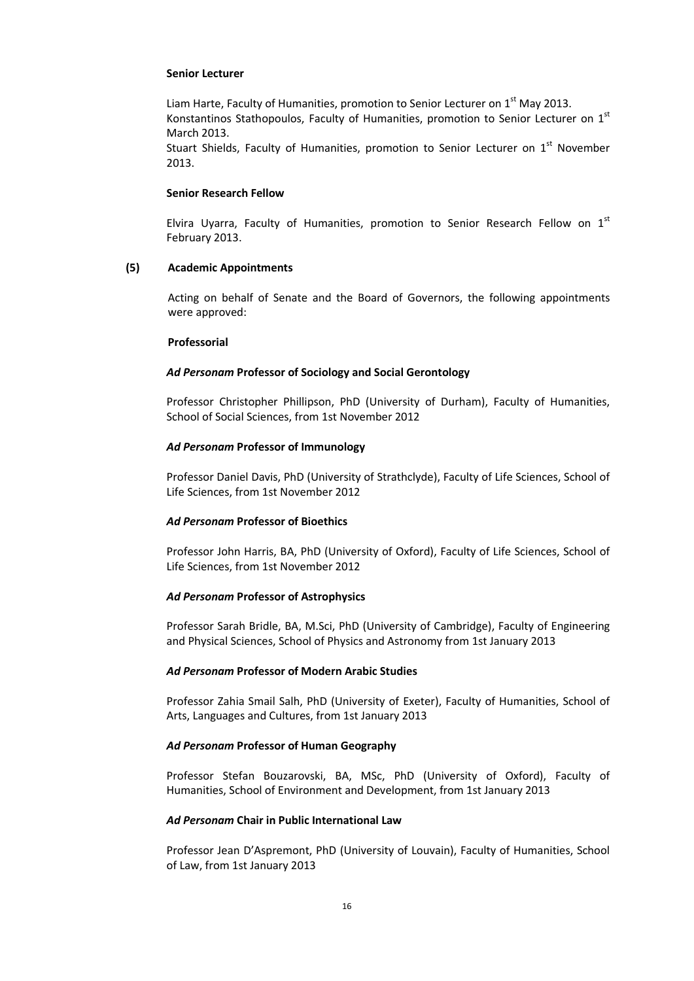#### **Senior Lecturer**

Liam Harte, Faculty of Humanities, promotion to Senior Lecturer on  $1<sup>st</sup>$  May 2013. Konstantinos Stathopoulos, Faculty of Humanities, promotion to Senior Lecturer on 1st March 2013.

Stuart Shields, Faculty of Humanities, promotion to Senior Lecturer on  $1<sup>st</sup>$  November 2013.

#### **Senior Research Fellow**

Elvira Uyarra, Faculty of Humanities, promotion to Senior Research Fellow on  $1<sup>st</sup>$ February 2013.

### **(5) Academic Appointments**

Acting on behalf of Senate and the Board of Governors, the following appointments were approved:

#### **Professorial**

### *Ad Personam* **Professor of Sociology and Social Gerontology**

Professor Christopher Phillipson, PhD (University of Durham), Faculty of Humanities, School of Social Sciences, from 1st November 2012

### *Ad Personam* **Professor of Immunology**

Professor Daniel Davis, PhD (University of Strathclyde), Faculty of Life Sciences, School of Life Sciences, from 1st November 2012

### *Ad Personam* **Professor of Bioethics**

Professor John Harris, BA, PhD (University of Oxford), Faculty of Life Sciences, School of Life Sciences, from 1st November 2012

### *Ad Personam* **Professor of Astrophysics**

Professor Sarah Bridle, BA, M.Sci, PhD (University of Cambridge), Faculty of Engineering and Physical Sciences, School of Physics and Astronomy from 1st January 2013

### *Ad Personam* **Professor of Modern Arabic Studies**

Professor Zahia Smail Salh, PhD (University of Exeter), Faculty of Humanities, School of Arts, Languages and Cultures, from 1st January 2013

### *Ad Personam* **Professor of Human Geography**

Professor Stefan Bouzarovski, BA, MSc, PhD (University of Oxford), Faculty of Humanities, School of Environment and Development, from 1st January 2013

### *Ad Personam* **Chair in Public International Law**

Professor Jean D'Aspremont, PhD (University of Louvain), Faculty of Humanities, School of Law, from 1st January 2013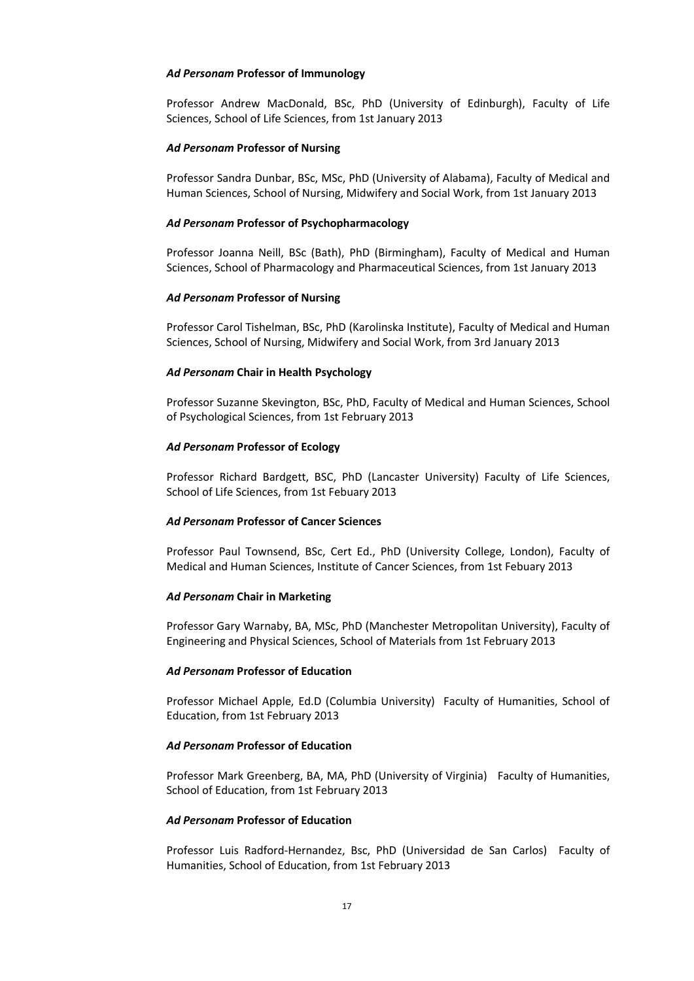#### *Ad Personam* **Professor of Immunology**

Professor Andrew MacDonald, BSc, PhD (University of Edinburgh), Faculty of Life Sciences, School of Life Sciences, from 1st January 2013

### *Ad Personam* **Professor of Nursing**

Professor Sandra Dunbar, BSc, MSc, PhD (University of Alabama), Faculty of Medical and Human Sciences, School of Nursing, Midwifery and Social Work, from 1st January 2013

### *Ad Personam* **Professor of Psychopharmacology**

Professor Joanna Neill, BSc (Bath), PhD (Birmingham), Faculty of Medical and Human Sciences, School of Pharmacology and Pharmaceutical Sciences, from 1st January 2013

#### *Ad Personam* **Professor of Nursing**

Professor Carol Tishelman, BSc, PhD (Karolinska Institute), Faculty of Medical and Human Sciences, School of Nursing, Midwifery and Social Work, from 3rd January 2013

### *Ad Personam* **Chair in Health Psychology**

Professor Suzanne Skevington, BSc, PhD, Faculty of Medical and Human Sciences, School of Psychological Sciences, from 1st February 2013

### *Ad Personam* **Professor of Ecology**

Professor Richard Bardgett, BSC, PhD (Lancaster University) Faculty of Life Sciences, School of Life Sciences, from 1st Febuary 2013

#### *Ad Personam* **Professor of Cancer Sciences**

Professor Paul Townsend, BSc, Cert Ed., PhD (University College, London), Faculty of Medical and Human Sciences, Institute of Cancer Sciences, from 1st Febuary 2013

#### *Ad Personam* **Chair in Marketing**

Professor Gary Warnaby, BA, MSc, PhD (Manchester Metropolitan University), Faculty of Engineering and Physical Sciences, School of Materials from 1st February 2013

### *Ad Personam* **Professor of Education**

Professor Michael Apple, Ed.D (Columbia University) Faculty of Humanities, School of Education, from 1st February 2013

### *Ad Personam* **Professor of Education**

Professor Mark Greenberg, BA, MA, PhD (University of Virginia) Faculty of Humanities, School of Education, from 1st February 2013

### *Ad Personam* **Professor of Education**

Professor Luis Radford-Hernandez, Bsc, PhD (Universidad de San Carlos) Faculty of Humanities, School of Education, from 1st February 2013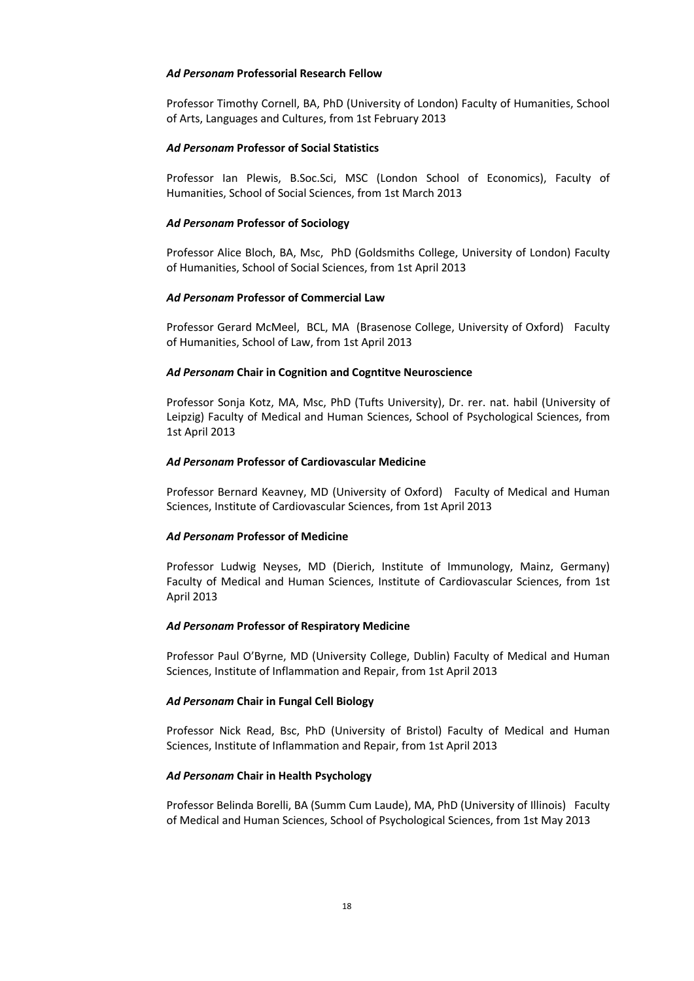### *Ad Personam* **Professorial Research Fellow**

Professor Timothy Cornell, BA, PhD (University of London) Faculty of Humanities, School of Arts, Languages and Cultures, from 1st February 2013

### *Ad Personam* **Professor of Social Statistics**

Professor Ian Plewis, B.Soc.Sci, MSC (London School of Economics), Faculty of Humanities, School of Social Sciences, from 1st March 2013

### *Ad Personam* **Professor of Sociology**

Professor Alice Bloch, BA, Msc, PhD (Goldsmiths College, University of London) Faculty of Humanities, School of Social Sciences, from 1st April 2013

### *Ad Personam* **Professor of Commercial Law**

Professor Gerard McMeel, BCL, MA (Brasenose College, University of Oxford) Faculty of Humanities, School of Law, from 1st April 2013

### *Ad Personam* **Chair in Cognition and Cogntitve Neuroscience**

Professor Sonja Kotz, MA, Msc, PhD (Tufts University), Dr. rer. nat. habil (University of Leipzig) Faculty of Medical and Human Sciences, School of Psychological Sciences, from 1st April 2013

### *Ad Personam* **Professor of Cardiovascular Medicine**

Professor Bernard Keavney, MD (University of Oxford) Faculty of Medical and Human Sciences, Institute of Cardiovascular Sciences, from 1st April 2013

#### *Ad Personam* **Professor of Medicine**

Professor Ludwig Neyses, MD (Dierich, Institute of Immunology, Mainz, Germany) Faculty of Medical and Human Sciences, Institute of Cardiovascular Sciences, from 1st April 2013

#### *Ad Personam* **Professor of Respiratory Medicine**

Professor Paul O'Byrne, MD (University College, Dublin) Faculty of Medical and Human Sciences, Institute of Inflammation and Repair, from 1st April 2013

#### *Ad Personam* **Chair in Fungal Cell Biology**

Professor Nick Read, Bsc, PhD (University of Bristol) Faculty of Medical and Human Sciences, Institute of Inflammation and Repair, from 1st April 2013

#### *Ad Personam* **Chair in Health Psychology**

Professor Belinda Borelli, BA (Summ Cum Laude), MA, PhD (University of Illinois) Faculty of Medical and Human Sciences, School of Psychological Sciences, from 1st May 2013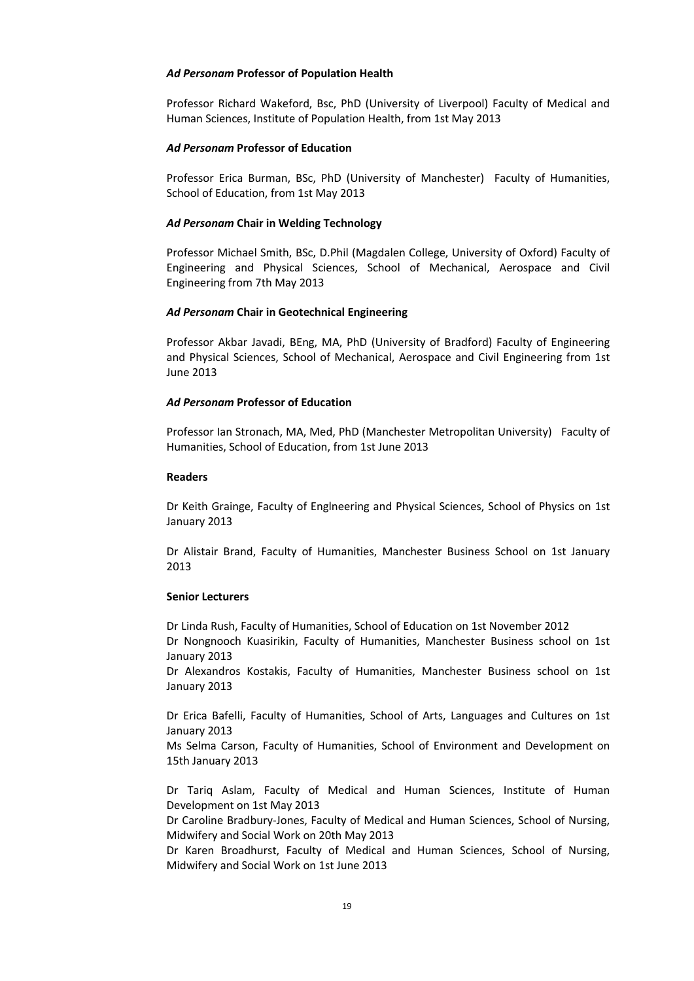#### *Ad Personam* **Professor of Population Health**

Professor Richard Wakeford, Bsc, PhD (University of Liverpool) Faculty of Medical and Human Sciences, Institute of Population Health, from 1st May 2013

#### *Ad Personam* **Professor of Education**

Professor Erica Burman, BSc, PhD (University of Manchester) Faculty of Humanities, School of Education, from 1st May 2013

### *Ad Personam* **Chair in Welding Technology**

Professor Michael Smith, BSc, D.Phil (Magdalen College, University of Oxford) Faculty of Engineering and Physical Sciences, School of Mechanical, Aerospace and Civil Engineering from 7th May 2013

### *Ad Personam* **Chair in Geotechnical Engineering**

Professor Akbar Javadi, BEng, MA, PhD (University of Bradford) Faculty of Engineering and Physical Sciences, School of Mechanical, Aerospace and Civil Engineering from 1st June 2013

### *Ad Personam* **Professor of Education**

Professor Ian Stronach, MA, Med, PhD (Manchester Metropolitan University) Faculty of Humanities, School of Education, from 1st June 2013

#### **Readers**

Dr Keith Grainge, Faculty of Englneering and Physical Sciences, School of Physics on 1st January 2013

Dr Alistair Brand, Faculty of Humanities, Manchester Business School on 1st January 2013

### **Senior Lecturers**

Dr Linda Rush, Faculty of Humanities, School of Education on 1st November 2012 Dr Nongnooch Kuasirikin, Faculty of Humanities, Manchester Business school on 1st January 2013

Dr Alexandros Kostakis, Faculty of Humanities, Manchester Business school on 1st January 2013

Dr Erica Bafelli, Faculty of Humanities, School of Arts, Languages and Cultures on 1st January 2013

Ms Selma Carson, Faculty of Humanities, School of Environment and Development on 15th January 2013

Dr Tariq Aslam, Faculty of Medical and Human Sciences, Institute of Human Development on 1st May 2013

Dr Caroline Bradbury-Jones, Faculty of Medical and Human Sciences, School of Nursing, Midwifery and Social Work on 20th May 2013

Dr Karen Broadhurst, Faculty of Medical and Human Sciences, School of Nursing, Midwifery and Social Work on 1st June 2013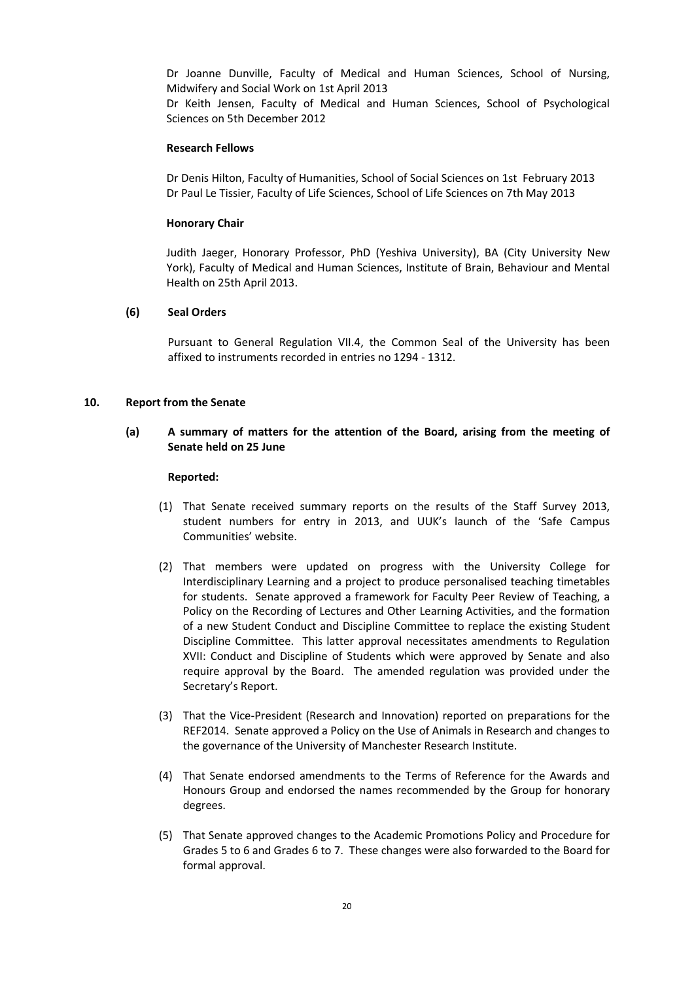Dr Joanne Dunville, Faculty of Medical and Human Sciences, School of Nursing, Midwifery and Social Work on 1st April 2013

Dr Keith Jensen, Faculty of Medical and Human Sciences, School of Psychological Sciences on 5th December 2012

### **Research Fellows**

Dr Denis Hilton, Faculty of Humanities, School of Social Sciences on 1st February 2013 Dr Paul Le Tissier, Faculty of Life Sciences, School of Life Sciences on 7th May 2013

# **Honorary Chair**

Judith Jaeger, Honorary Professor, PhD (Yeshiva University), BA (City University New York), Faculty of Medical and Human Sciences, Institute of Brain, Behaviour and Mental Health on 25th April 2013.

# **(6) Seal Orders**

Pursuant to General Regulation VII.4, the Common Seal of the University has been affixed to instruments recorded in entries no 1294 - 1312.

# **10. Report from the Senate**

# **(a) A summary of matters for the attention of the Board, arising from the meeting of Senate held on 25 June**

### **Reported:**

- (1) That Senate received summary reports on the results of the Staff Survey 2013, student numbers for entry in 2013, and UUK's launch of the 'Safe Campus Communities' website.
- (2) That members were updated on progress with the University College for Interdisciplinary Learning and a project to produce personalised teaching timetables for students. Senate approved a framework for Faculty Peer Review of Teaching, a Policy on the Recording of Lectures and Other Learning Activities, and the formation of a new Student Conduct and Discipline Committee to replace the existing Student Discipline Committee. This latter approval necessitates amendments to Regulation XVII: Conduct and Discipline of Students which were approved by Senate and also require approval by the Board. The amended regulation was provided under the Secretary's Report.
- (3) That the Vice-President (Research and Innovation) reported on preparations for the REF2014. Senate approved a Policy on the Use of Animals in Research and changes to the governance of the University of Manchester Research Institute.
- (4) That Senate endorsed amendments to the Terms of Reference for the Awards and Honours Group and endorsed the names recommended by the Group for honorary degrees.
- (5) That Senate approved changes to the Academic Promotions Policy and Procedure for Grades 5 to 6 and Grades 6 to 7. These changes were also forwarded to the Board for formal approval.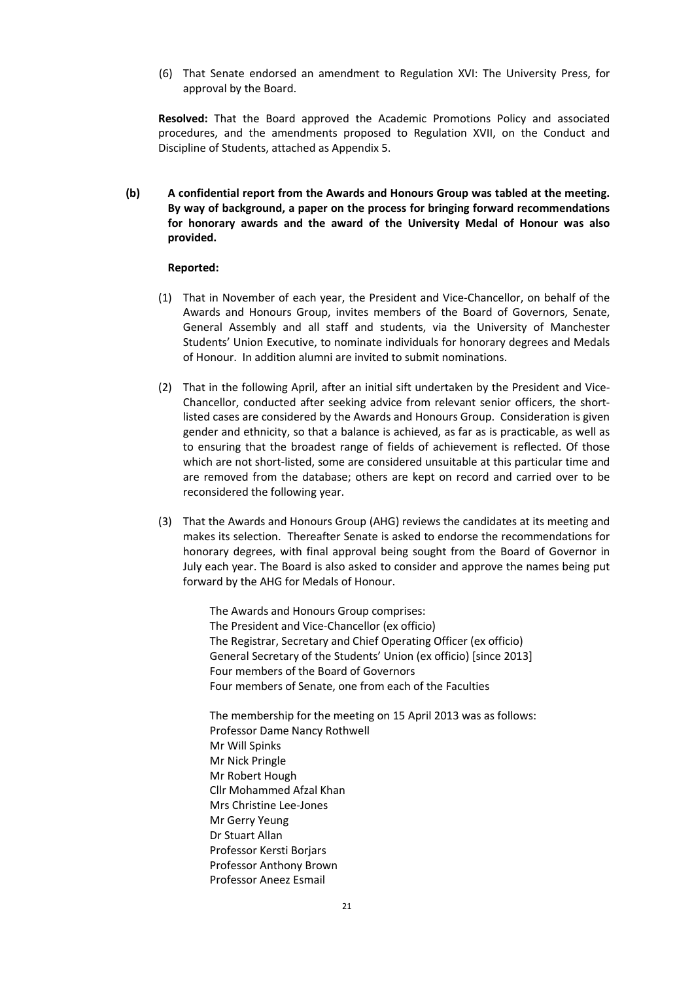(6) That Senate endorsed an amendment to Regulation XVI: The University Press, for approval by the Board.

**Resolved:** That the Board approved the Academic Promotions Policy and associated procedures, and the amendments proposed to Regulation XVII, on the Conduct and Discipline of Students, attached as Appendix 5.

**(b) A confidential report from the Awards and Honours Group was tabled at the meeting. By way of background, a paper on the process for bringing forward recommendations for honorary awards and the award of the University Medal of Honour was also provided.**

#### **Reported:**

- (1) That in November of each year, the President and Vice-Chancellor, on behalf of the Awards and Honours Group, invites members of the Board of Governors, Senate, General Assembly and all staff and students, via the University of Manchester Students' Union Executive, to nominate individuals for honorary degrees and Medals of Honour. In addition alumni are invited to submit nominations.
- (2) That in the following April, after an initial sift undertaken by the President and Vice-Chancellor, conducted after seeking advice from relevant senior officers, the shortlisted cases are considered by the Awards and Honours Group. Consideration is given gender and ethnicity, so that a balance is achieved, as far as is practicable, as well as to ensuring that the broadest range of fields of achievement is reflected. Of those which are not short-listed, some are considered unsuitable at this particular time and are removed from the database; others are kept on record and carried over to be reconsidered the following year.
- (3) That the Awards and Honours Group (AHG) reviews the candidates at its meeting and makes its selection. Thereafter Senate is asked to endorse the recommendations for honorary degrees, with final approval being sought from the Board of Governor in July each year. The Board is also asked to consider and approve the names being put forward by the AHG for Medals of Honour.

The Awards and Honours Group comprises: The President and Vice-Chancellor (ex officio) The Registrar, Secretary and Chief Operating Officer (ex officio) General Secretary of the Students' Union (ex officio) [since 2013] Four members of the Board of Governors Four members of Senate, one from each of the Faculties

The membership for the meeting on 15 April 2013 was as follows: Professor Dame Nancy Rothwell Mr Will Spinks Mr Nick Pringle Mr Robert Hough Cllr Mohammed Afzal Khan Mrs Christine Lee-Jones Mr Gerry Yeung Dr Stuart Allan Professor Kersti Borjars Professor Anthony Brown Professor Aneez Esmail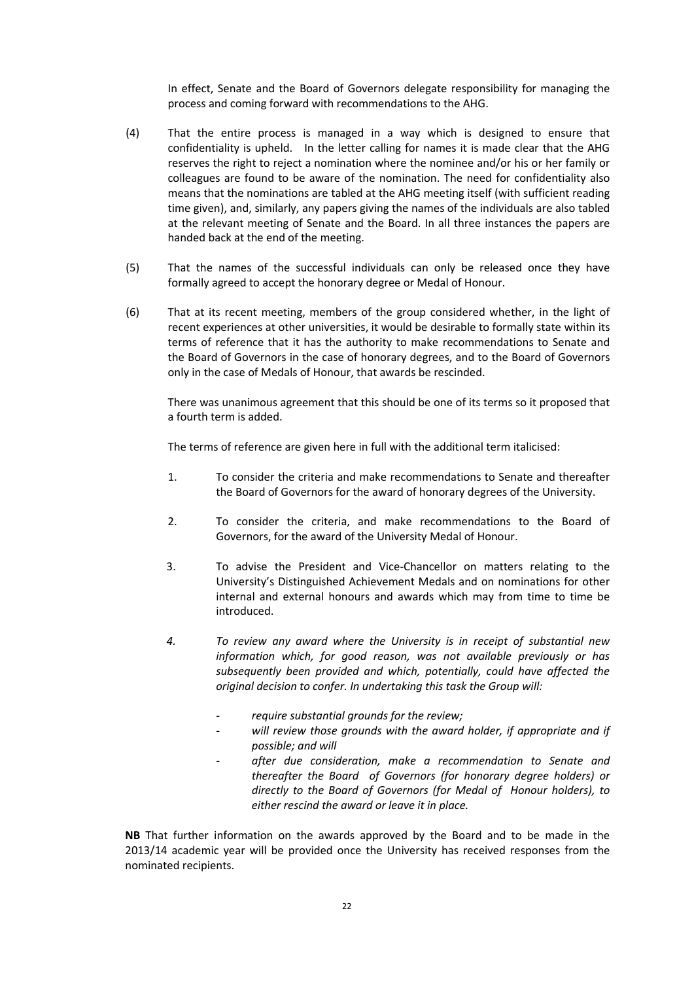In effect, Senate and the Board of Governors delegate responsibility for managing the process and coming forward with recommendations to the AHG.

- (4) That the entire process is managed in a way which is designed to ensure that confidentiality is upheld. In the letter calling for names it is made clear that the AHG reserves the right to reject a nomination where the nominee and/or his or her family or colleagues are found to be aware of the nomination. The need for confidentiality also means that the nominations are tabled at the AHG meeting itself (with sufficient reading time given), and, similarly, any papers giving the names of the individuals are also tabled at the relevant meeting of Senate and the Board. In all three instances the papers are handed back at the end of the meeting.
- (5) That the names of the successful individuals can only be released once they have formally agreed to accept the honorary degree or Medal of Honour.
- (6) That at its recent meeting, members of the group considered whether, in the light of recent experiences at other universities, it would be desirable to formally state within its terms of reference that it has the authority to make recommendations to Senate and the Board of Governors in the case of honorary degrees, and to the Board of Governors only in the case of Medals of Honour, that awards be rescinded.

There was unanimous agreement that this should be one of its terms so it proposed that a fourth term is added.

The terms of reference are given here in full with the additional term italicised:

- 1. To consider the criteria and make recommendations to Senate and thereafter the Board of Governors for the award of honorary degrees of the University.
- 2. To consider the criteria, and make recommendations to the Board of Governors, for the award of the University Medal of Honour.
- 3. To advise the President and Vice-Chancellor on matters relating to the University's Distinguished Achievement Medals and on nominations for other internal and external honours and awards which may from time to time be introduced.
- *4. To review any award where the University is in receipt of substantial new information which, for good reason, was not available previously or has subsequently been provided and which, potentially, could have affected the original decision to confer. In undertaking this task the Group will:*
	- *- require substantial grounds for the review;*
	- *- will review those grounds with the award holder, if appropriate and if possible; and will*
	- *- after due consideration, make a recommendation to Senate and thereafter the Board of Governors (for honorary degree holders) or directly to the Board of Governors (for Medal of Honour holders), to either rescind the award or leave it in place.*

**NB** That further information on the awards approved by the Board and to be made in the 2013/14 academic year will be provided once the University has received responses from the nominated recipients.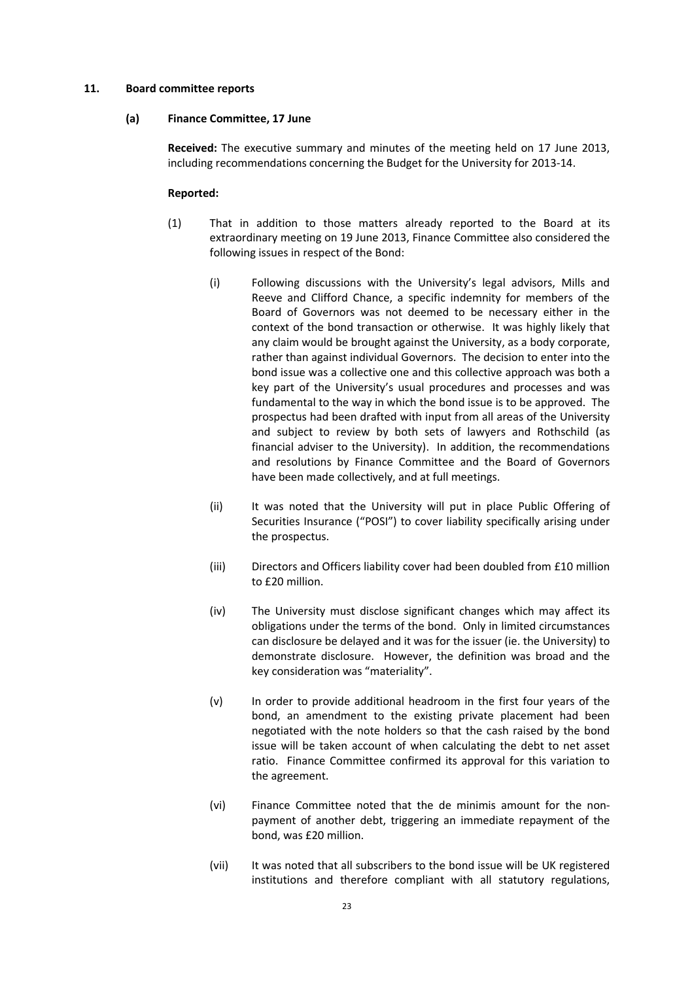### **11. Board committee reports**

#### **(a) Finance Committee, 17 June**

**Received:** The executive summary and minutes of the meeting held on 17 June 2013, including recommendations concerning the Budget for the University for 2013-14.

#### **Reported:**

- (1) That in addition to those matters already reported to the Board at its extraordinary meeting on 19 June 2013, Finance Committee also considered the following issues in respect of the Bond:
	- (i) Following discussions with the University's legal advisors, Mills and Reeve and Clifford Chance, a specific indemnity for members of the Board of Governors was not deemed to be necessary either in the context of the bond transaction or otherwise. It was highly likely that any claim would be brought against the University, as a body corporate, rather than against individual Governors. The decision to enter into the bond issue was a collective one and this collective approach was both a key part of the University's usual procedures and processes and was fundamental to the way in which the bond issue is to be approved. The prospectus had been drafted with input from all areas of the University and subject to review by both sets of lawyers and Rothschild (as financial adviser to the University). In addition, the recommendations and resolutions by Finance Committee and the Board of Governors have been made collectively, and at full meetings.
	- (ii) It was noted that the University will put in place Public Offering of Securities Insurance ("POSI") to cover liability specifically arising under the prospectus.
	- (iii) Directors and Officers liability cover had been doubled from £10 million to £20 million.
	- (iv) The University must disclose significant changes which may affect its obligations under the terms of the bond. Only in limited circumstances can disclosure be delayed and it was for the issuer (ie. the University) to demonstrate disclosure. However, the definition was broad and the key consideration was "materiality".
	- (v) In order to provide additional headroom in the first four years of the bond, an amendment to the existing private placement had been negotiated with the note holders so that the cash raised by the bond issue will be taken account of when calculating the debt to net asset ratio. Finance Committee confirmed its approval for this variation to the agreement.
	- (vi) Finance Committee noted that the de minimis amount for the nonpayment of another debt, triggering an immediate repayment of the bond, was £20 million.
	- (vii) It was noted that all subscribers to the bond issue will be UK registered institutions and therefore compliant with all statutory regulations,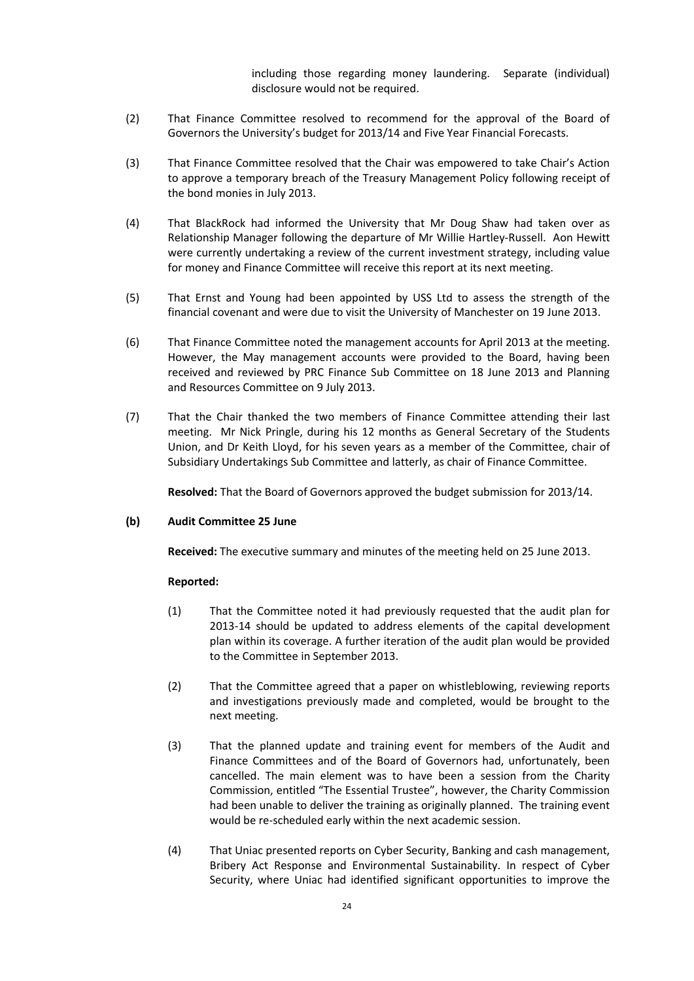including those regarding money laundering. Separate (individual) disclosure would not be required.

- (2) That Finance Committee resolved to recommend for the approval of the Board of Governors the University's budget for 2013/14 and Five Year Financial Forecasts.
- (3) That Finance Committee resolved that the Chair was empowered to take Chair's Action to approve a temporary breach of the Treasury Management Policy following receipt of the bond monies in July 2013.
- (4) That BlackRock had informed the University that Mr Doug Shaw had taken over as Relationship Manager following the departure of Mr Willie Hartley-Russell. Aon Hewitt were currently undertaking a review of the current investment strategy, including value for money and Finance Committee will receive this report at its next meeting.
- (5) That Ernst and Young had been appointed by USS Ltd to assess the strength of the financial covenant and were due to visit the University of Manchester on 19 June 2013.
- (6) That Finance Committee noted the management accounts for April 2013 at the meeting. However, the May management accounts were provided to the Board, having been received and reviewed by PRC Finance Sub Committee on 18 June 2013 and Planning and Resources Committee on 9 July 2013.
- (7) That the Chair thanked the two members of Finance Committee attending their last meeting. Mr Nick Pringle, during his 12 months as General Secretary of the Students Union, and Dr Keith Lloyd, for his seven years as a member of the Committee, chair of Subsidiary Undertakings Sub Committee and latterly, as chair of Finance Committee.

**Resolved:** That the Board of Governors approved the budget submission for 2013/14.

### **(b) Audit Committee 25 June**

**Received:** The executive summary and minutes of the meeting held on 25 June 2013.

### **Reported:**

- (1) That the Committee noted it had previously requested that the audit plan for 2013-14 should be updated to address elements of the capital development plan within its coverage. A further iteration of the audit plan would be provided to the Committee in September 2013.
- (2) That the Committee agreed that a paper on whistleblowing, reviewing reports and investigations previously made and completed, would be brought to the next meeting.
- (3) That the planned update and training event for members of the Audit and Finance Committees and of the Board of Governors had, unfortunately, been cancelled. The main element was to have been a session from the Charity Commission, entitled "The Essential Trustee", however, the Charity Commission had been unable to deliver the training as originally planned. The training event would be re-scheduled early within the next academic session.
- (4) That Uniac presented reports on Cyber Security, Banking and cash management, Bribery Act Response and Environmental Sustainability. In respect of Cyber Security, where Uniac had identified significant opportunities to improve the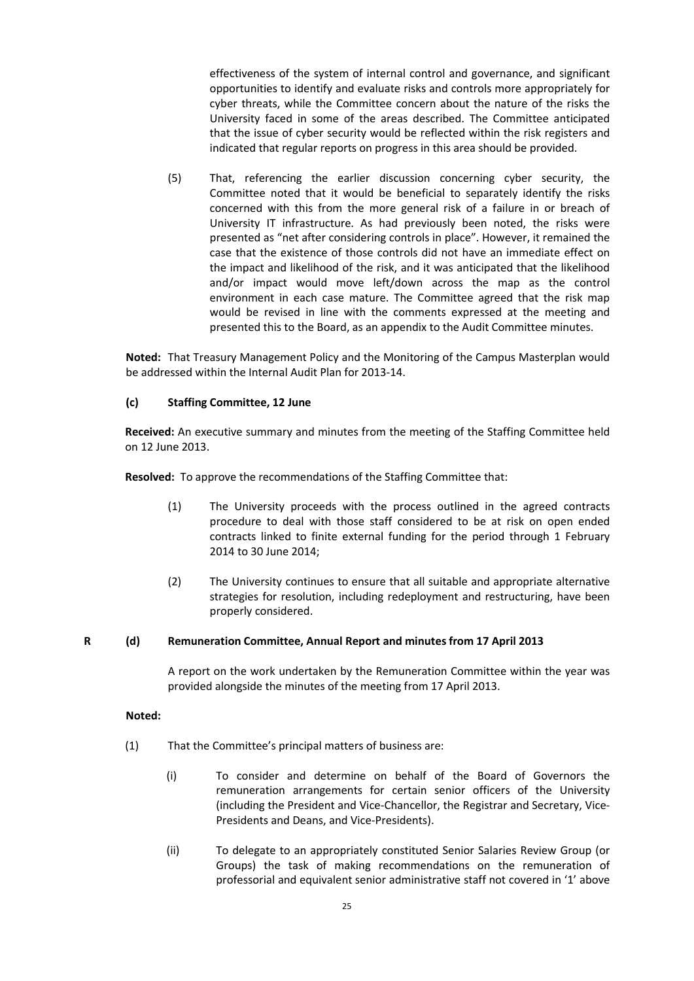effectiveness of the system of internal control and governance, and significant opportunities to identify and evaluate risks and controls more appropriately for cyber threats, while the Committee concern about the nature of the risks the University faced in some of the areas described. The Committee anticipated that the issue of cyber security would be reflected within the risk registers and indicated that regular reports on progress in this area should be provided.

(5) That, referencing the earlier discussion concerning cyber security, the Committee noted that it would be beneficial to separately identify the risks concerned with this from the more general risk of a failure in or breach of University IT infrastructure. As had previously been noted, the risks were presented as "net after considering controls in place". However, it remained the case that the existence of those controls did not have an immediate effect on the impact and likelihood of the risk, and it was anticipated that the likelihood and/or impact would move left/down across the map as the control environment in each case mature. The Committee agreed that the risk map would be revised in line with the comments expressed at the meeting and presented this to the Board, as an appendix to the Audit Committee minutes.

**Noted:** That Treasury Management Policy and the Monitoring of the Campus Masterplan would be addressed within the Internal Audit Plan for 2013-14.

# **(c) Staffing Committee, 12 June**

**Received:** An executive summary and minutes from the meeting of the Staffing Committee held on 12 June 2013.

**Resolved:** To approve the recommendations of the Staffing Committee that:

- (1) The University proceeds with the process outlined in the agreed contracts procedure to deal with those staff considered to be at risk on open ended contracts linked to finite external funding for the period through 1 February 2014 to 30 June 2014;
- (2) The University continues to ensure that all suitable and appropriate alternative strategies for resolution, including redeployment and restructuring, have been properly considered.

# **R (d) Remuneration Committee, Annual Report and minutes from 17 April 2013**

A report on the work undertaken by the Remuneration Committee within the year was provided alongside the minutes of the meeting from 17 April 2013.

### **Noted:**

- (1) That the Committee's principal matters of business are:
	- (i) To consider and determine on behalf of the Board of Governors the remuneration arrangements for certain senior officers of the University (including the President and Vice-Chancellor, the Registrar and Secretary, Vice-Presidents and Deans, and Vice-Presidents).
	- (ii) To delegate to an appropriately constituted Senior Salaries Review Group (or Groups) the task of making recommendations on the remuneration of professorial and equivalent senior administrative staff not covered in '1' above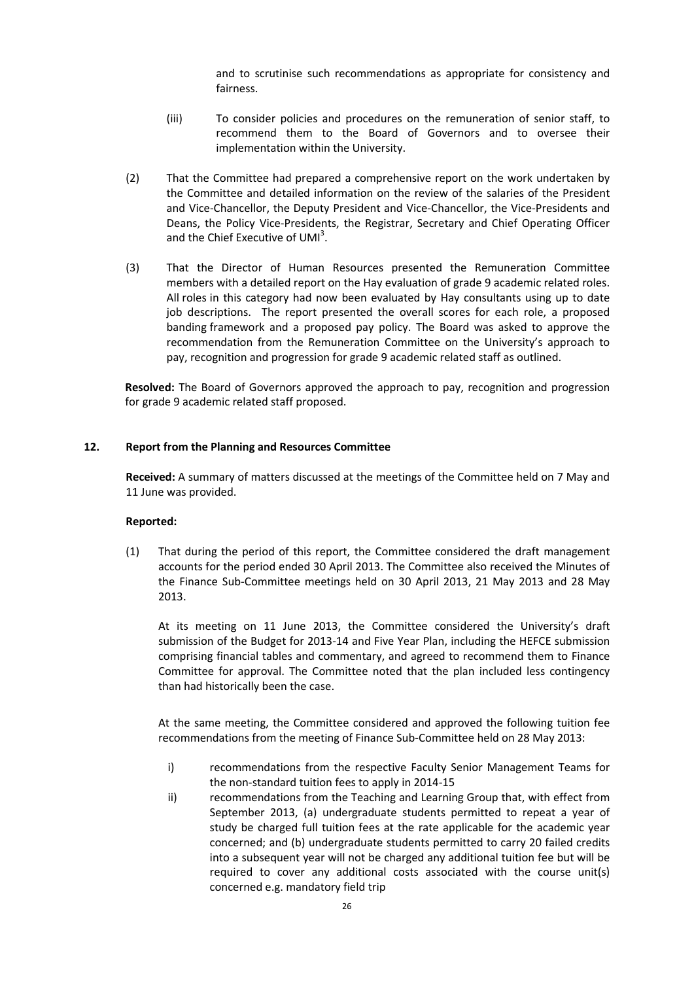and to scrutinise such recommendations as appropriate for consistency and fairness.

- (iii) To consider policies and procedures on the remuneration of senior staff, to recommend them to the Board of Governors and to oversee their implementation within the University.
- (2) That the Committee had prepared a comprehensive report on the work undertaken by the Committee and detailed information on the review of the salaries of the President and Vice-Chancellor, the Deputy President and Vice-Chancellor, the Vice-Presidents and Deans, the Policy Vice-Presidents, the Registrar, Secretary and Chief Operating Officer and the Chief Executive of UMI<sup>3</sup>.
- (3) That the Director of Human Resources presented the Remuneration Committee members with a detailed report on the Hay evaluation of grade 9 academic related roles. All roles in this category had now been evaluated by Hay consultants using up to date job descriptions. The report presented the overall scores for each role, a proposed banding framework and a proposed pay policy. The Board was asked to approve the recommendation from the Remuneration Committee on the University's approach to pay, recognition and progression for grade 9 academic related staff as outlined.

**Resolved:** The Board of Governors approved the approach to pay, recognition and progression for grade 9 academic related staff proposed.

### **12. Report from the Planning and Resources Committee**

**Received:** A summary of matters discussed at the meetings of the Committee held on 7 May and 11 June was provided.

#### **Reported:**

(1) That during the period of this report, the Committee considered the draft management accounts for the period ended 30 April 2013. The Committee also received the Minutes of the Finance Sub-Committee meetings held on 30 April 2013, 21 May 2013 and 28 May 2013.

At its meeting on 11 June 2013, the Committee considered the University's draft submission of the Budget for 2013-14 and Five Year Plan, including the HEFCE submission comprising financial tables and commentary, and agreed to recommend them to Finance Committee for approval. The Committee noted that the plan included less contingency than had historically been the case.

At the same meeting, the Committee considered and approved the following tuition fee recommendations from the meeting of Finance Sub-Committee held on 28 May 2013:

- i) recommendations from the respective Faculty Senior Management Teams for the non-standard tuition fees to apply in 2014-15
- ii) recommendations from the Teaching and Learning Group that, with effect from September 2013, (a) undergraduate students permitted to repeat a year of study be charged full tuition fees at the rate applicable for the academic year concerned; and (b) undergraduate students permitted to carry 20 failed credits into a subsequent year will not be charged any additional tuition fee but will be required to cover any additional costs associated with the course unit(s) concerned e.g. mandatory field trip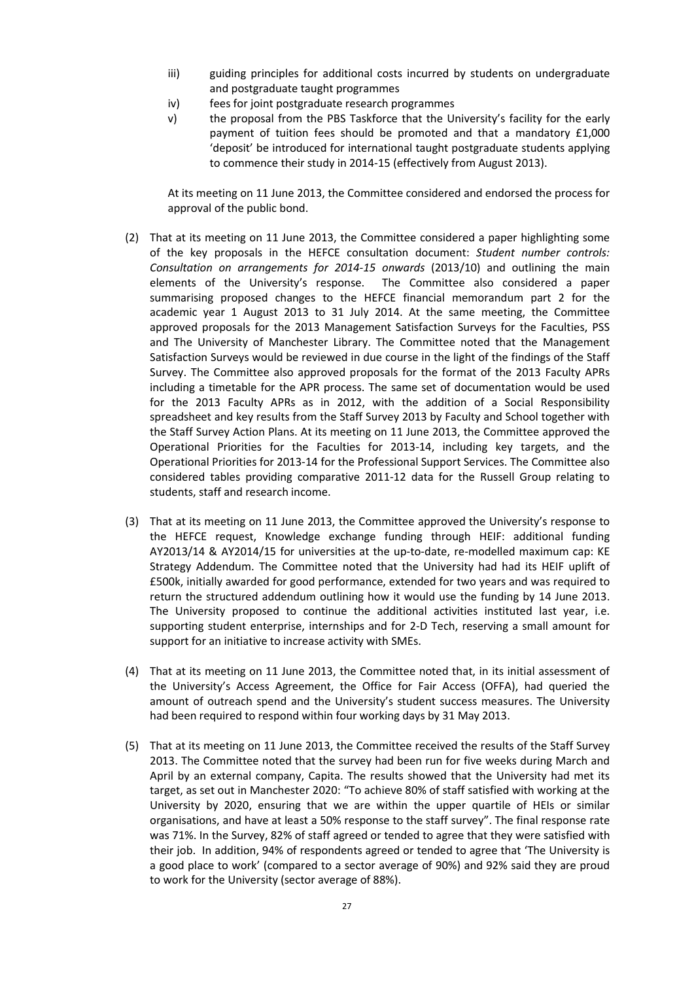- iii) guiding principles for additional costs incurred by students on undergraduate and postgraduate taught programmes
- iv) fees for joint postgraduate research programmes
- v) the proposal from the PBS Taskforce that the University's facility for the early payment of tuition fees should be promoted and that a mandatory £1,000 'deposit' be introduced for international taught postgraduate students applying to commence their study in 2014-15 (effectively from August 2013).

At its meeting on 11 June 2013, the Committee considered and endorsed the process for approval of the public bond.

- (2) That at its meeting on 11 June 2013, the Committee considered a paper highlighting some of the key proposals in the HEFCE consultation document: *Student number controls: Consultation on arrangements for 2014-15 onwards* (2013/10) [a](http://www.hefce.ac.uk/whatwedo/lt/howfund/studentgrades/haveyoursay/%23d.en.81773)nd outlining the main elements of the University's response. The Committee also considered a paper summarising proposed changes to the HEFCE financial memorandum part 2 for the academic year 1 August 2013 to 31 July 2014. At the same meeting, the Committee approved proposals for the 2013 Management Satisfaction Surveys for the Faculties, PSS and The University of Manchester Library. The Committee noted that the Management Satisfaction Surveys would be reviewed in due course in the light of the findings of the Staff Survey. The Committee also approved proposals for the format of the 2013 Faculty APRs including a timetable for the APR process. The same set of documentation would be used for the 2013 Faculty APRs as in 2012, with the addition of a Social Responsibility spreadsheet and key results from the Staff Survey 2013 by Faculty and School together with the Staff Survey Action Plans. At its meeting on 11 June 2013, the Committee approved the Operational Priorities for the Faculties for 2013-14, including key targets, and the Operational Priorities for 2013-14 for the Professional Support Services. The Committee also considered tables providing comparative 2011-12 data for the Russell Group relating to students, staff and research income.
- (3) That at its meeting on 11 June 2013, the Committee approved the University's response to the HEFCE request, Knowledge exchange funding through HEIF: additional funding AY2013/14 & AY2014/15 for universities at the up-to-date, re-modelled maximum cap: KE Strategy Addendum. The Committee noted that the University had had its HEIF uplift of £500k, initially awarded for good performance, extended for two years and was required to return the structured addendum outlining how it would use the funding by 14 June 2013. The University proposed to continue the additional activities instituted last year, i.e. supporting student enterprise, internships and for 2-D Tech, reserving a small amount for support for an initiative to increase activity with SMEs.
- (4) That at its meeting on 11 June 2013, the Committee noted that, in its initial assessment of the University's Access Agreement, the Office for Fair Access (OFFA), had queried the amount of outreach spend and the University's student success measures. The University had been required to respond within four working days by 31 May 2013.
- (5) That at its meeting on 11 June 2013, the Committee received the results of the Staff Survey 2013. The Committee noted that the survey had been run for five weeks during March and April by an external company, Capita. The results showed that the University had met its target, as set out in Manchester 2020: "To achieve 80% of staff satisfied with working at the University by 2020, ensuring that we are within the upper quartile of HEIs or similar organisations, and have at least a 50% response to the staff survey". The final response rate was 71%. In the Survey, 82% of staff agreed or tended to agree that they were satisfied with their job. In addition, 94% of respondents agreed or tended to agree that 'The University is a good place to work' (compared to a sector average of 90%) and 92% said they are proud to work for the University (sector average of 88%).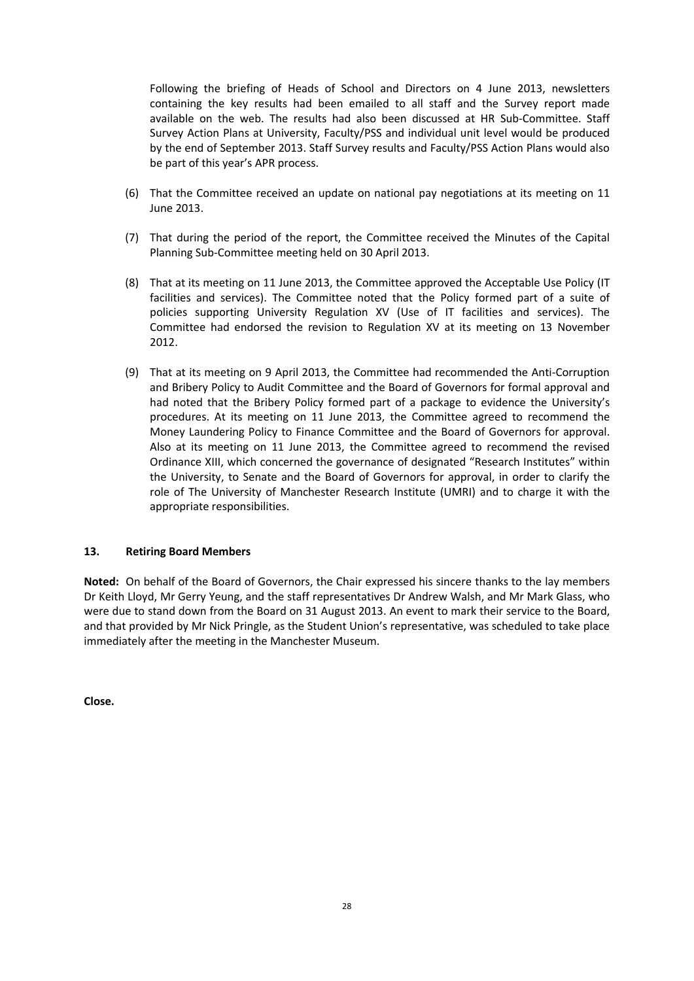Following the briefing of Heads of School and Directors on 4 June 2013, newsletters containing the key results had been emailed to all staff and the Survey report made available on the web. The results had also been discussed at HR Sub-Committee. Staff Survey Action Plans at University, Faculty/PSS and individual unit level would be produced by the end of September 2013. Staff Survey results and Faculty/PSS Action Plans would also be part of this year's APR process.

- (6) That the Committee received an update on national pay negotiations at its meeting on 11 June 2013.
- (7) That during the period of the report, the Committee received the Minutes of the Capital Planning Sub-Committee meeting held on 30 April 2013.
- (8) That at its meeting on 11 June 2013, the Committee approved the Acceptable Use Policy (IT facilities and services). The Committee noted that the Policy formed part of a suite of policies supporting University Regulation XV (Use of IT facilities and services). The Committee had endorsed the revision to Regulation XV at its meeting on 13 November 2012.
- (9) That at its meeting on 9 April 2013, the Committee had recommended the Anti-Corruption and Bribery Policy to Audit Committee and the Board of Governors for formal approval and had noted that the Bribery Policy formed part of a package to evidence the University's procedures. At its meeting on 11 June 2013, the Committee agreed to recommend the Money Laundering Policy to Finance Committee and the Board of Governors for approval. Also at its meeting on 11 June 2013, the Committee agreed to recommend the revised Ordinance XIII, which concerned the governance of designated "Research Institutes" within the University, to Senate and the Board of Governors for approval, in order to clarify the role of The University of Manchester Research Institute (UMRI) and to charge it with the appropriate responsibilities.

### **13. Retiring Board Members**

**Noted:** On behalf of the Board of Governors, the Chair expressed his sincere thanks to the lay members Dr Keith Lloyd, Mr Gerry Yeung, and the staff representatives Dr Andrew Walsh, and Mr Mark Glass, who were due to stand down from the Board on 31 August 2013. An event to mark their service to the Board, and that provided by Mr Nick Pringle, as the Student Union's representative, was scheduled to take place immediately after the meeting in the Manchester Museum.

**Close.**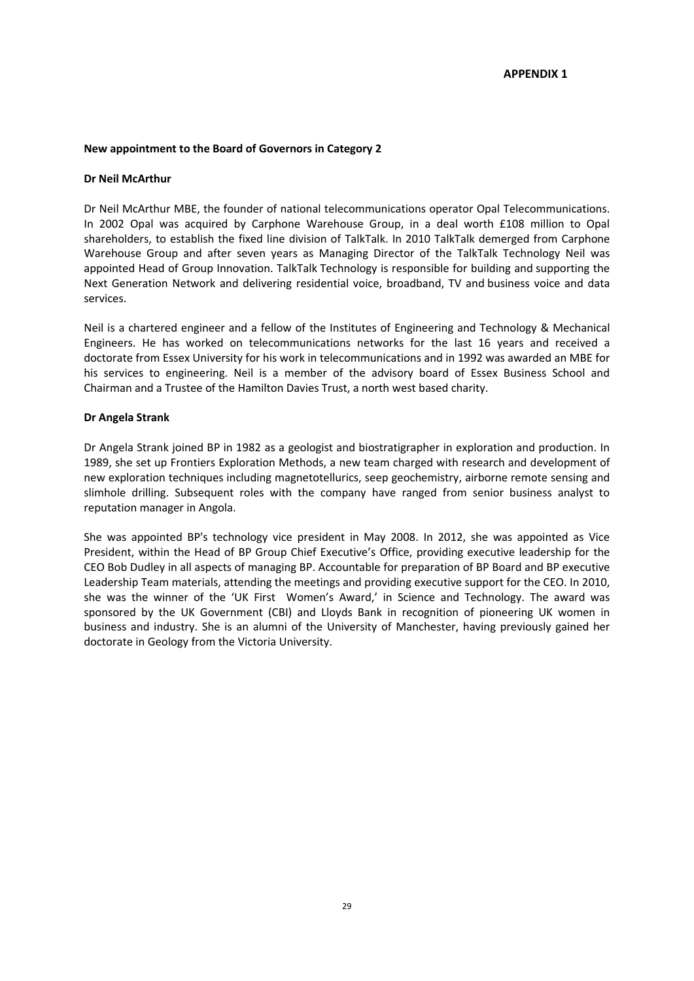### **New appointment to the Board of Governors in Category 2**

#### **Dr Neil McArthur**

Dr Neil McArthur MBE, the founder of national telecommunications operator Opal Telecommunications. In 2002 Opal was acquired by Carphone Warehouse Group, in a deal worth £108 million to Opal shareholders, to establish the fixed line division of TalkTalk. In 2010 TalkTalk demerged from Carphone Warehouse Group and after seven years as Managing Director of the TalkTalk Technology Neil was appointed Head of Group Innovation. TalkTalk Technology is responsible for building and supporting the Next Generation Network and delivering residential voice, broadband, TV and business voice and data services.

Neil is a chartered engineer and a fellow of the Institutes of Engineering and Technology & Mechanical Engineers. He has worked on telecommunications networks for the last 16 years and received a doctorate from Essex University for his work in telecommunications and in 1992 was awarded an MBE for his services to engineering. Neil is a member of the advisory board of Essex Business School and Chairman and a Trustee of the Hamilton Davies Trust, a north west based charity.

### **Dr Angela Strank**

Dr Angela Strank joined BP in 1982 as a geologist and biostratigrapher in exploration and production. In 1989, she set up Frontiers Exploration Methods, a new team charged with research and development of new exploration techniques including magnetotellurics, seep geochemistry, airborne remote sensing and slimhole drilling. Subsequent roles with the company have ranged from senior business analyst to reputation manager in Angola.

She was appointed BP's technology vice president in May 2008. In 2012, she was appointed as Vice President, within the Head of BP Group Chief Executive's Office, providing executive leadership for the CEO Bob Dudley in all aspects of managing BP. Accountable for preparation of BP Board and BP executive Leadership Team materials, attending the meetings and providing executive support for the CEO. In 2010, she was the winner of the 'UK First Women's Award,' in Science and Technology. The award was sponsored by the UK Government (CBI) and Lloyds Bank in recognition of pioneering UK women in business and industry. She is an alumni of the University of Manchester, having previously gained her doctorate in Geology from the Victoria University.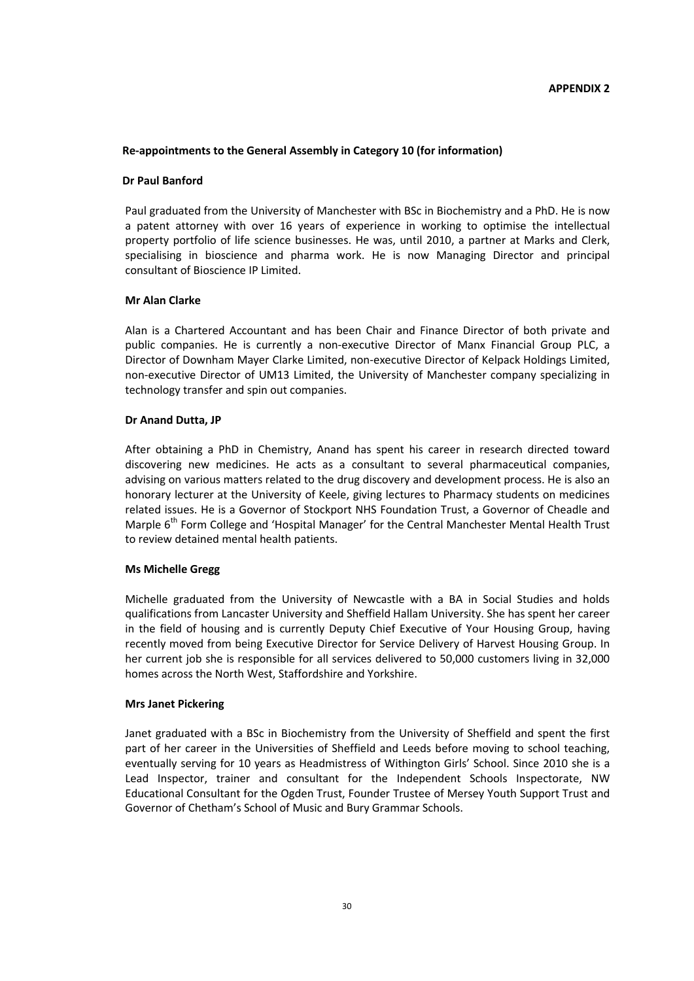### **Re-appointments to the General Assembly in Category 10 (for information)**

### **Dr Paul Banford**

Paul graduated from the University of Manchester with BSc in Biochemistry and a PhD. He is now a patent attorney with over 16 years of experience in working to optimise the intellectual property portfolio of life science businesses. He was, until 2010, a partner at Marks and Clerk, specialising in bioscience and pharma work. He is now Managing Director and principal consultant of Bioscience IP Limited.

### **Mr Alan Clarke**

Alan is a Chartered Accountant and has been Chair and Finance Director of both private and public companies. He is currently a non-executive Director of Manx Financial Group PLC, a Director of Downham Mayer Clarke Limited, non-executive Director of Kelpack Holdings Limited, non-executive Director of UM13 Limited, the University of Manchester company specializing in technology transfer and spin out companies.

### **Dr Anand Dutta, JP**

After obtaining a PhD in Chemistry, Anand has spent his career in research directed toward discovering new medicines. He acts as a consultant to several pharmaceutical companies, advising on various matters related to the drug discovery and development process. He is also an honorary lecturer at the University of Keele, giving lectures to Pharmacy students on medicines related issues. He is a Governor of Stockport NHS Foundation Trust, a Governor of Cheadle and Marple 6<sup>th</sup> Form College and 'Hospital Manager' for the Central Manchester Mental Health Trust to review detained mental health patients.

### **Ms Michelle Gregg**

Michelle graduated from the University of Newcastle with a BA in Social Studies and holds qualifications from Lancaster University and Sheffield Hallam University. She has spent her career in the field of housing and is currently Deputy Chief Executive of Your Housing Group, having recently moved from being Executive Director for Service Delivery of Harvest Housing Group. In her current job she is responsible for all services delivered to 50,000 customers living in 32,000 homes across the North West, Staffordshire and Yorkshire.

#### **Mrs Janet Pickering**

Janet graduated with a BSc in Biochemistry from the University of Sheffield and spent the first part of her career in the Universities of Sheffield and Leeds before moving to school teaching, eventually serving for 10 years as Headmistress of Withington Girls' School. Since 2010 she is a Lead Inspector, trainer and consultant for the Independent Schools Inspectorate, NW Educational Consultant for the Ogden Trust, Founder Trustee of Mersey Youth Support Trust and Governor of Chetham's School of Music and Bury Grammar Schools.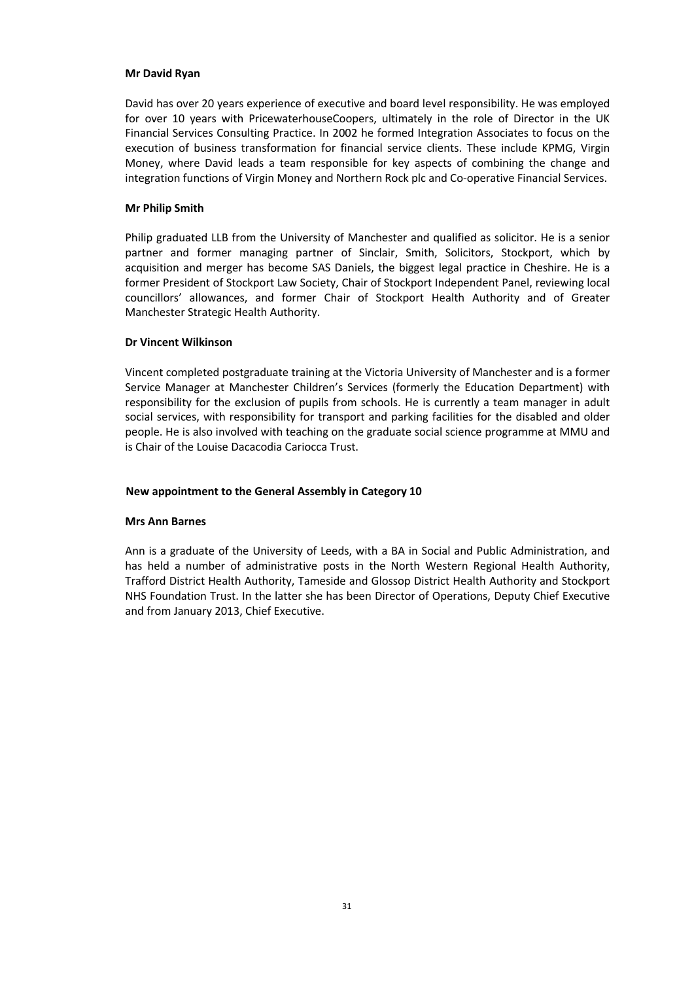### **Mr David Ryan**

David has over 20 years experience of executive and board level responsibility. He was employed for over 10 years with PricewaterhouseCoopers, ultimately in the role of Director in the UK Financial Services Consulting Practice. In 2002 he formed Integration Associates to focus on the execution of business transformation for financial service clients. These include KPMG, Virgin Money, where David leads a team responsible for key aspects of combining the change and integration functions of Virgin Money and Northern Rock plc and Co-operative Financial Services.

### **Mr Philip Smith**

Philip graduated LLB from the University of Manchester and qualified as solicitor. He is a senior partner and former managing partner of Sinclair, Smith, Solicitors, Stockport, which by acquisition and merger has become SAS Daniels, the biggest legal practice in Cheshire. He is a former President of Stockport Law Society, Chair of Stockport Independent Panel, reviewing local councillors' allowances, and former Chair of Stockport Health Authority and of Greater Manchester Strategic Health Authority.

### **Dr Vincent Wilkinson**

Vincent completed postgraduate training at the Victoria University of Manchester and is a former Service Manager at Manchester Children's Services (formerly the Education Department) with responsibility for the exclusion of pupils from schools. He is currently a team manager in adult social services, with responsibility for transport and parking facilities for the disabled and older people. He is also involved with teaching on the graduate social science programme at MMU and is Chair of the Louise Dacacodia Cariocca Trust.

### **New appointment to the General Assembly in Category 10**

#### **Mrs Ann Barnes**

Ann is a graduate of the University of Leeds, with a BA in Social and Public Administration, and has held a number of administrative posts in the North Western Regional Health Authority, Trafford District Health Authority, Tameside and Glossop District Health Authority and Stockport NHS Foundation Trust. In the latter she has been Director of Operations, Deputy Chief Executive and from January 2013, Chief Executive.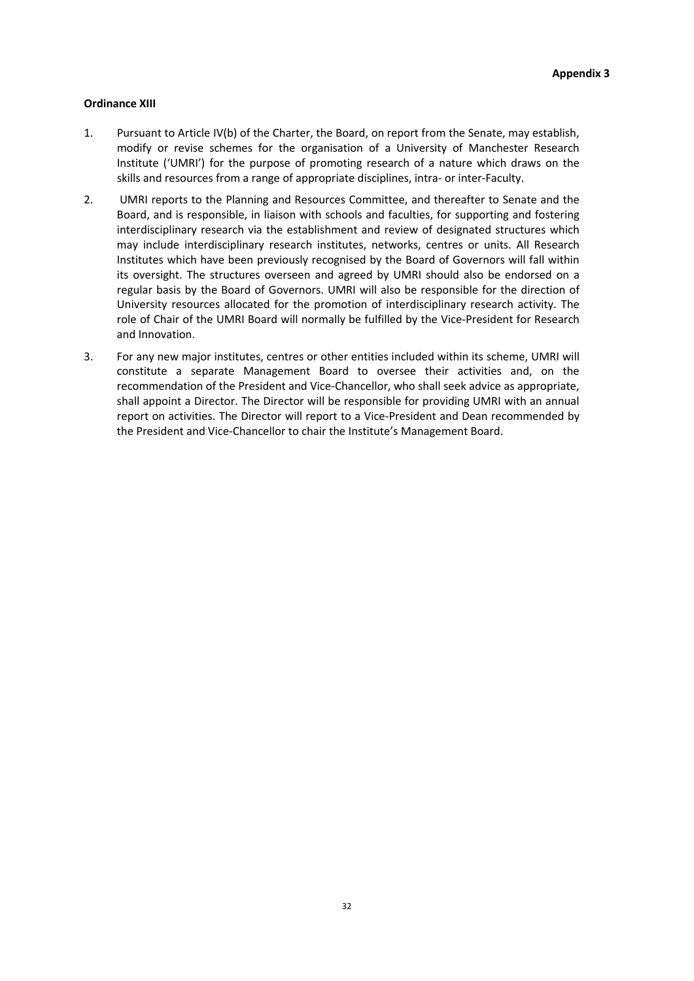### **Ordinance XIII**

- 1. Pursuant to Article IV(b) of the Charter, the Board, on report from the Senate, may establish, modify or revise schemes for the organisation of a University of Manchester Research Institute ('UMRI') for the purpose of promoting research of a nature which draws on the skills and resources from a range of appropriate disciplines, intra- or inter-Faculty.
- 2. UMRI reports to the Planning and Resources Committee, and thereafter to Senate and the Board, and is responsible, in liaison with schools and faculties, for supporting and fostering interdisciplinary research via the establishment and review of designated structures which may include interdisciplinary research institutes, networks, centres or units. All Research Institutes which have been previously recognised by the Board of Governors will fall within its oversight. The structures overseen and agreed by UMRI should also be endorsed on a regular basis by the Board of Governors. UMRI will also be responsible for the direction of University resources allocated for the promotion of interdisciplinary research activity. The role of Chair of the UMRI Board will normally be fulfilled by the Vice-President for Research and Innovation.
- 3. For any new major institutes, centres or other entities included within its scheme, UMRI will constitute a separate Management Board to oversee their activities and, on the recommendation of the President and Vice-Chancellor, who shall seek advice as appropriate, shall appoint a Director. The Director will be responsible for providing UMRI with an annual report on activities. The Director will report to a Vice-President and Dean recommended by the President and Vice-Chancellor to chair the Institute's Management Board.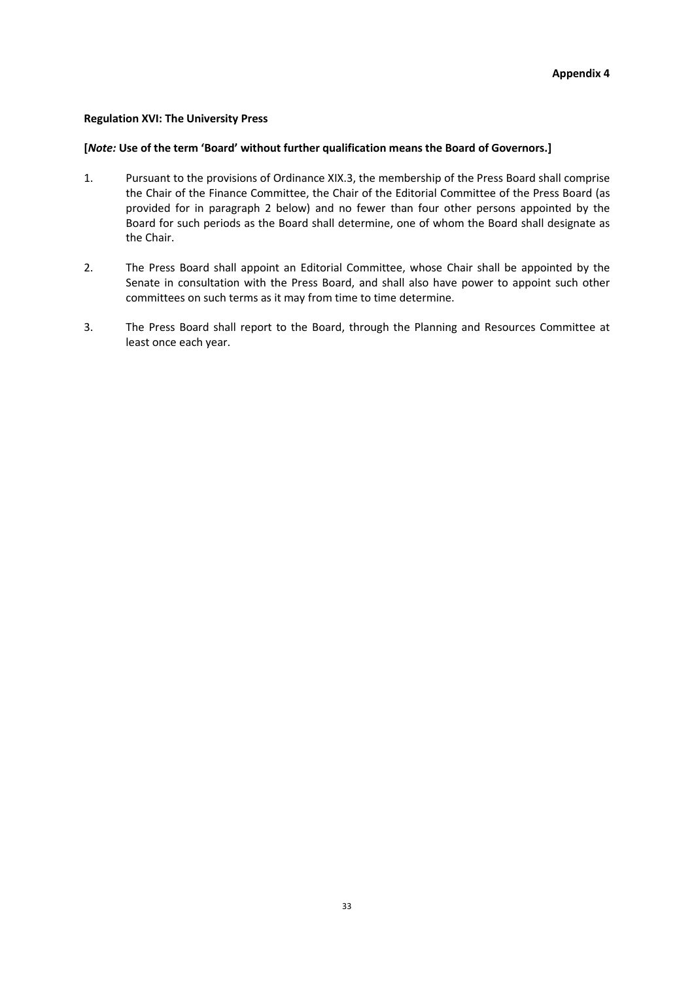### **Regulation XVI: The University Press**

## **[***Note:* **Use of the term 'Board' without further qualification means the Board of Governors.]**

- 1. Pursuant to the provisions of Ordinance XIX.3, the membership of the Press Board shall comprise the Chair of the Finance Committee, the Chair of the Editorial Committee of the Press Board (as provided for in paragraph 2 below) and no fewer than four other persons appointed by the Board for such periods as the Board shall determine, one of whom the Board shall designate as the Chair.
- 2. The Press Board shall appoint an Editorial Committee, whose Chair shall be appointed by the Senate in consultation with the Press Board, and shall also have power to appoint such other committees on such terms as it may from time to time determine.
- 3. The Press Board shall report to the Board, through the Planning and Resources Committee at least once each year.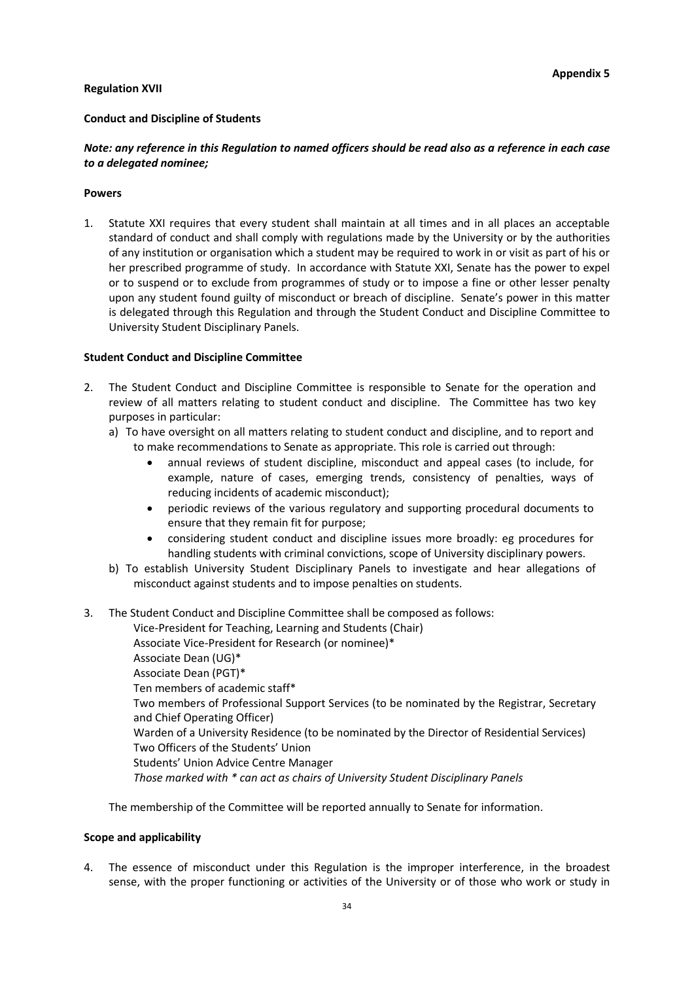### **Regulation XVII**

### **Conduct and Discipline of Students**

# *Note: any reference in this Regulation to named officers should be read also as a reference in each case to a delegated nominee;*

#### **Powers**

1. Statute XXI requires that every student shall maintain at all times and in all places an acceptable standard of conduct and shall comply with regulations made by the University or by the authorities of any institution or organisation which a student may be required to work in or visit as part of his or her prescribed programme of study. In accordance with Statute XXI, Senate has the power to expel or to suspend or to exclude from programmes of study or to impose a fine or other lesser penalty upon any student found guilty of misconduct or breach of discipline. Senate's power in this matter is delegated through this Regulation and through the Student Conduct and Discipline Committee to University Student Disciplinary Panels.

### **Student Conduct and Discipline Committee**

- 2. The Student Conduct and Discipline Committee is responsible to Senate for the operation and review of all matters relating to student conduct and discipline. The Committee has two key purposes in particular:
	- a) To have oversight on all matters relating to student conduct and discipline, and to report and to make recommendations to Senate as appropriate. This role is carried out through:
		- annual reviews of student discipline, misconduct and appeal cases (to include, for example, nature of cases, emerging trends, consistency of penalties, ways of reducing incidents of academic misconduct);
		- periodic reviews of the various regulatory and supporting procedural documents to ensure that they remain fit for purpose;
		- considering student conduct and discipline issues more broadly: eg procedures for handling students with criminal convictions, scope of University disciplinary powers.
	- b) To establish University Student Disciplinary Panels to investigate and hear allegations of misconduct against students and to impose penalties on students.
- 3. The Student Conduct and Discipline Committee shall be composed as follows:

Vice-President for Teaching, Learning and Students (Chair) Associate Vice-President for Research (or nominee)\* Associate Dean (UG)\* Associate Dean (PGT)\* Ten members of academic staff\* Two members of Professional Support Services (to be nominated by the Registrar, Secretary and Chief Operating Officer) Warden of a University Residence (to be nominated by the Director of Residential Services) Two Officers of the Students' Union Students' Union Advice Centre Manager *Those marked with \* can act as chairs of University Student Disciplinary Panels*

The membership of the Committee will be reported annually to Senate for information.

#### **Scope and applicability**

4. The essence of misconduct under this Regulation is the improper interference, in the broadest sense, with the proper functioning or activities of the University or of those who work or study in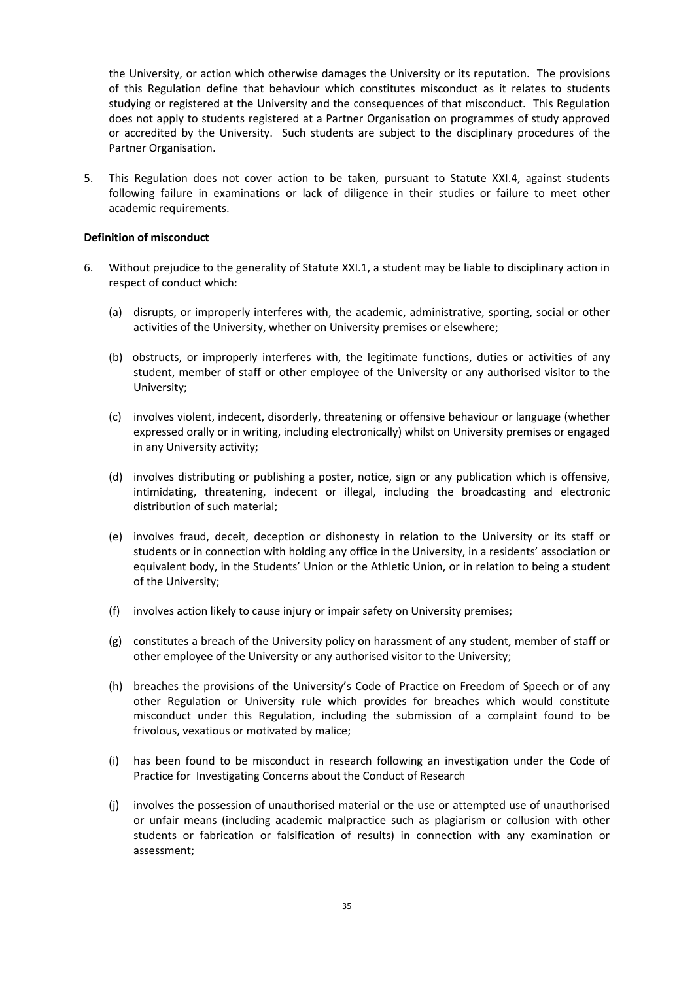the University, or action which otherwise damages the University or its reputation. The provisions of this Regulation define that behaviour which constitutes misconduct as it relates to students studying or registered at the University and the consequences of that misconduct. This Regulation does not apply to students registered at a Partner Organisation on programmes of study approved or accredited by the University. Such students are subject to the disciplinary procedures of the Partner Organisation.

5. This Regulation does not cover action to be taken, pursuant to Statute XXI.4, against students following failure in examinations or lack of diligence in their studies or failure to meet other academic requirements.

### **Definition of misconduct**

- 6. Without prejudice to the generality of Statute XXI.1, a student may be liable to disciplinary action in respect of conduct which:
	- (a) disrupts, or improperly interferes with, the academic, administrative, sporting, social or other activities of the University, whether on University premises or elsewhere;
	- (b) obstructs, or improperly interferes with, the legitimate functions, duties or activities of any student, member of staff or other employee of the University or any authorised visitor to the University;
	- (c) involves violent, indecent, disorderly, threatening or offensive behaviour or language (whether expressed orally or in writing, including electronically) whilst on University premises or engaged in any University activity;
	- (d) involves distributing or publishing a poster, notice, sign or any publication which is offensive, intimidating, threatening, indecent or illegal, including the broadcasting and electronic distribution of such material;
	- (e) involves fraud, deceit, deception or dishonesty in relation to the University or its staff or students or in connection with holding any office in the University, in a residents' association or equivalent body, in the Students' Union or the Athletic Union, or in relation to being a student of the University;
	- (f) involves action likely to cause injury or impair safety on University premises;
	- (g) constitutes a breach of the University policy on harassment of any student, member of staff or other employee of the University or any authorised visitor to the University;
	- (h) breaches the provisions of the University's Code of Practice on Freedom of Speech or of any other Regulation or University rule which provides for breaches which would constitute misconduct under this Regulation, including the submission of a complaint found to be frivolous, vexatious or motivated by malice;
	- (i) has been found to be misconduct in research following an investigation under the Code of Practice for Investigating Concerns about the Conduct of Research
	- (j) involves the possession of unauthorised material or the use or attempted use of unauthorised or unfair means (including academic malpractice such as plagiarism or collusion with other students or fabrication or falsification of results) in connection with any examination or assessment;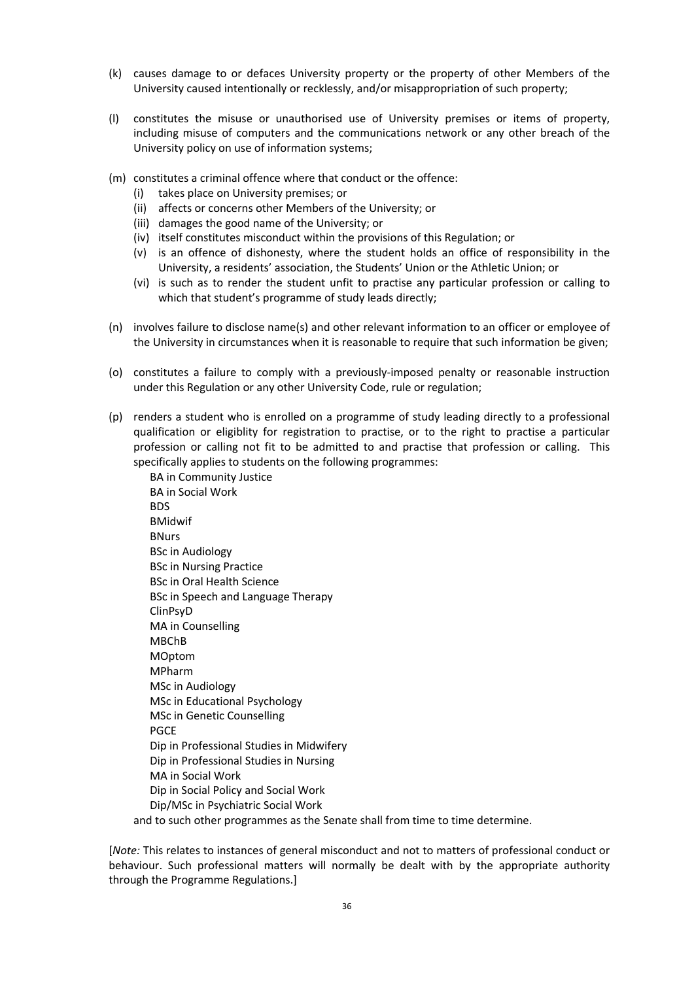- (k) causes damage to or defaces University property or the property of other Members of the University caused intentionally or recklessly, and/or misappropriation of such property;
- (l) constitutes the misuse or unauthorised use of University premises or items of property, including misuse of computers and the communications network or any other breach of the University policy on use of information systems;
- (m) constitutes a criminal offence where that conduct or the offence:
	- (i) takes place on University premises; or
	- (ii) affects or concerns other Members of the University; or
	- (iii) damages the good name of the University; or
	- (iv) itself constitutes misconduct within the provisions of this Regulation; or
	- (v) is an offence of dishonesty, where the student holds an office of responsibility in the University, a residents' association, the Students' Union or the Athletic Union; or
	- (vi) is such as to render the student unfit to practise any particular profession or calling to which that student's programme of study leads directly;
- (n) involves failure to disclose name(s) and other relevant information to an officer or employee of the University in circumstances when it is reasonable to require that such information be given;
- (o) constitutes a failure to comply with a previously-imposed penalty or reasonable instruction under this Regulation or any other University Code, rule or regulation;
- (p) renders a student who is enrolled on a programme of study leading directly to a professional qualification or eligiblity for registration to practise, or to the right to practise a particular profession or calling not fit to be admitted to and practise that profession or calling. This specifically applies to students on the following programmes:

BA in Community Justice BA in Social Work BDS BMidwif BNurs BSc in Audiology BSc in Nursing Practice BSc in Oral Health Science BSc in Speech and Language Therapy ClinPsyD MA in Counselling MBChB MOptom MPharm MSc in Audiology MSc in Educational Psychology MSc in Genetic Counselling PGCE Dip in Professional Studies in Midwifery Dip in Professional Studies in Nursing MA in Social Work Dip in Social Policy and Social Work Dip/MSc in Psychiatric Social Work and to such other programmes as the Senate shall from time to time determine.

[*Note:* This relates to instances of general misconduct and not to matters of professional conduct or behaviour. Such professional matters will normally be dealt with by the appropriate authority through the Programme Regulations.]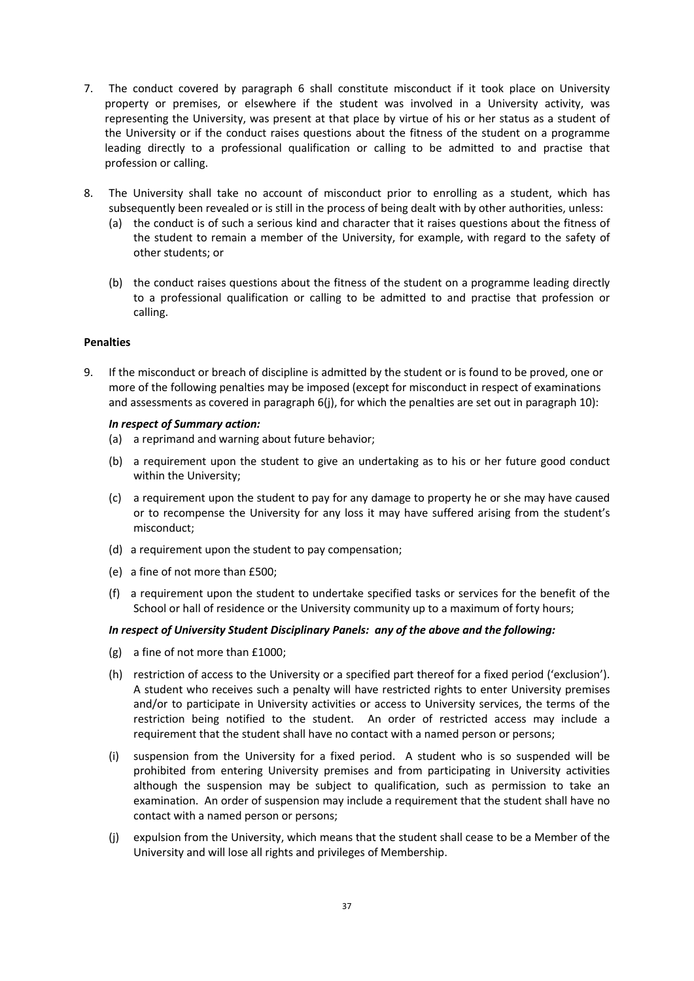- 7. The conduct covered by paragraph 6 shall constitute misconduct if it took place on University property or premises, or elsewhere if the student was involved in a University activity, was representing the University, was present at that place by virtue of his or her status as a student of the University or if the conduct raises questions about the fitness of the student on a programme leading directly to a professional qualification or calling to be admitted to and practise that profession or calling.
- 8. The University shall take no account of misconduct prior to enrolling as a student, which has subsequently been revealed or is still in the process of being dealt with by other authorities, unless:
	- (a) the conduct is of such a serious kind and character that it raises questions about the fitness of the student to remain a member of the University, for example, with regard to the safety of other students; or
	- (b) the conduct raises questions about the fitness of the student on a programme leading directly to a professional qualification or calling to be admitted to and practise that profession or calling.

# **Penalties**

9. If the misconduct or breach of discipline is admitted by the student or is found to be proved, one or more of the following penalties may be imposed (except for misconduct in respect of examinations and assessments as covered in paragraph 6(j), for which the penalties are set out in paragraph 10):

### *In respect of Summary action:*

- (a) a reprimand and warning about future behavior;
- (b) a requirement upon the student to give an undertaking as to his or her future good conduct within the University;
- (c) a requirement upon the student to pay for any damage to property he or she may have caused or to recompense the University for any loss it may have suffered arising from the student's misconduct;
- (d) a requirement upon the student to pay compensation;
- (e) a fine of not more than £500;
- (f) a requirement upon the student to undertake specified tasks or services for the benefit of the School or hall of residence or the University community up to a maximum of forty hours;

# *In respect of University Student Disciplinary Panels: any of the above and the following:*

- (g) a fine of not more than £1000;
- (h) restriction of access to the University or a specified part thereof for a fixed period ('exclusion'). A student who receives such a penalty will have restricted rights to enter University premises and/or to participate in University activities or access to University services, the terms of the restriction being notified to the student. An order of restricted access may include a requirement that the student shall have no contact with a named person or persons;
- (i) suspension from the University for a fixed period. A student who is so suspended will be prohibited from entering University premises and from participating in University activities although the suspension may be subject to qualification, such as permission to take an examination. An order of suspension may include a requirement that the student shall have no contact with a named person or persons;
- (j) expulsion from the University, which means that the student shall cease to be a Member of the University and will lose all rights and privileges of Membership.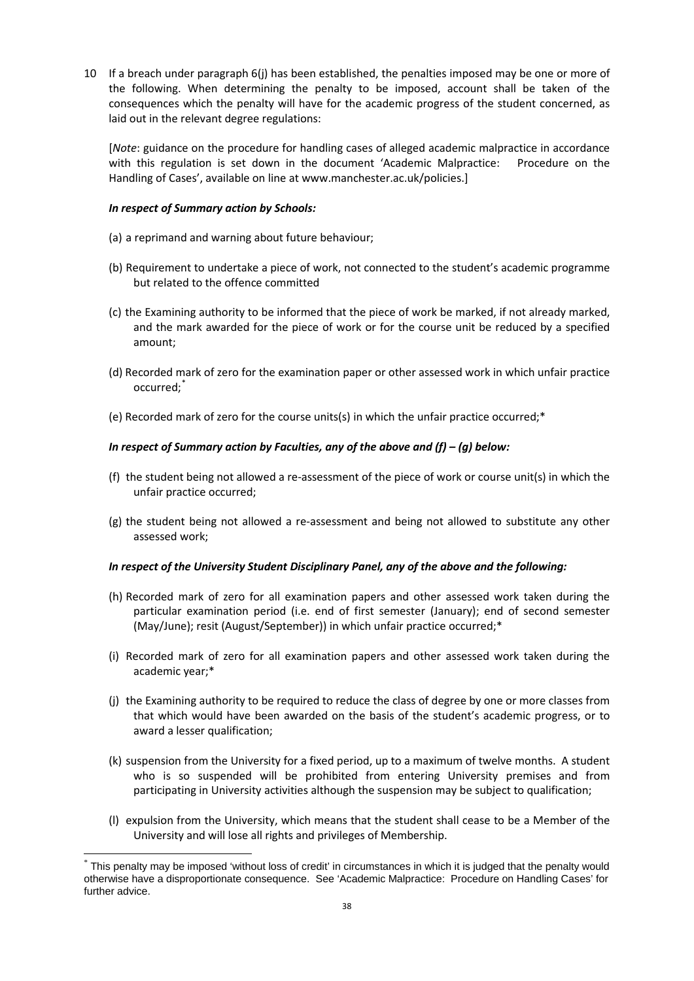10 If a breach under paragraph 6(j) has been established, the penalties imposed may be one or more of the following. When determining the penalty to be imposed, account shall be taken of the consequences which the penalty will have for the academic progress of the student concerned, as laid out in the relevant degree regulations:

[*Note*: guidance on the procedure for handling cases of alleged academic malpractice in accordance with this regulation is set down in the document 'Academic Malpractice: Procedure on the Handling of Cases', available on line at www.manchester.ac.uk/policies.]

# *In respect of Summary action by Schools:*

-

- (a) a reprimand and warning about future behaviour;
- (b) Requirement to undertake a piece of work, not connected to the student's academic programme but related to the offence committed
- (c) the Examining authority to be informed that the piece of work be marked, if not already marked, and the mark awarded for the piece of work or for the course unit be reduced by a specified amount;
- (d) Recorded mark of zero for the examination paper or other assessed work in which unfair practice occurred;
- (e) Recorded mark of zero for the course units(s) in which the unfair practice occurred;\*

# *In respect of Summary action by Faculties, any of the above and (f) – (g) below:*

- (f) the student being not allowed a re-assessment of the piece of work or course unit(s) in which the unfair practice occurred;
- (g) the student being not allowed a re-assessment and being not allowed to substitute any other assessed work;

### *In respect of the University Student Disciplinary Panel, any of the above and the following:*

- (h) Recorded mark of zero for all examination papers and other assessed work taken during the particular examination period (i.e. end of first semester (January); end of second semester (May/June); resit (August/September)) in which unfair practice occurred;\*
- (i) Recorded mark of zero for all examination papers and other assessed work taken during the academic year;\*
- (j) the Examining authority to be required to reduce the class of degree by one or more classes from that which would have been awarded on the basis of the student's academic progress, or to award a lesser qualification;
- (k) suspension from the University for a fixed period, up to a maximum of twelve months. A student who is so suspended will be prohibited from entering University premises and from participating in University activities although the suspension may be subject to qualification;
- (l) expulsion from the University, which means that the student shall cease to be a Member of the University and will lose all rights and privileges of Membership.

<span id="page-37-0"></span><sup>\*</sup> This penalty may be imposed 'without loss of credit' in circumstances in which it is judged that the penalty would otherwise have a disproportionate consequence. See 'Academic Malpractice: Procedure on Handling Cases' for further advice.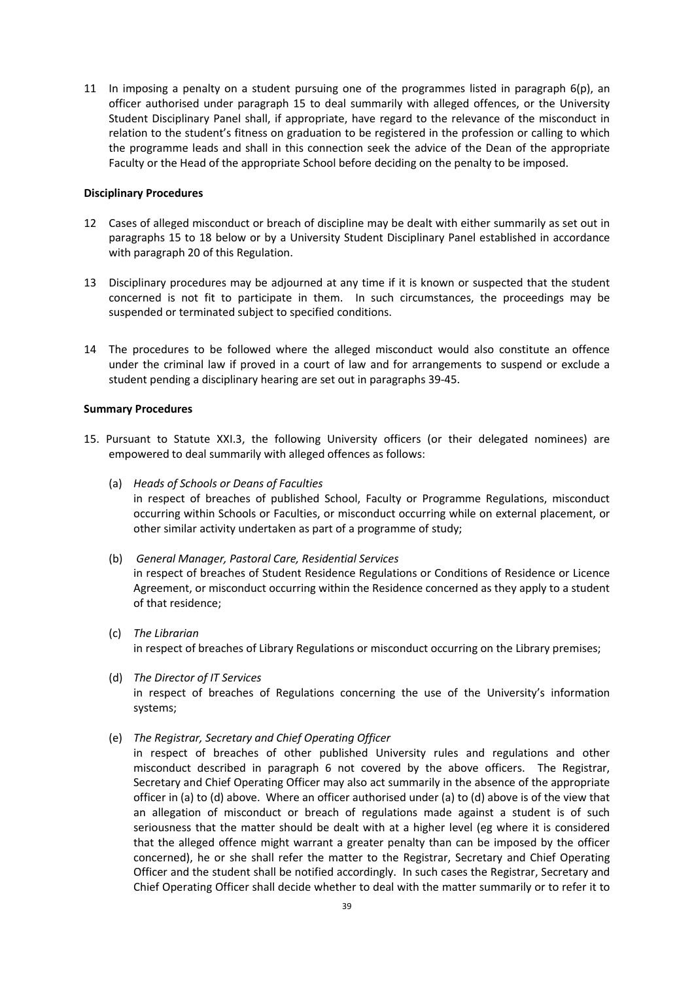11 In imposing a penalty on a student pursuing one of the programmes listed in paragraph  $6(p)$ , an officer authorised under paragraph 15 to deal summarily with alleged offences, or the University Student Disciplinary Panel shall, if appropriate, have regard to the relevance of the misconduct in relation to the student's fitness on graduation to be registered in the profession or calling to which the programme leads and shall in this connection seek the advice of the Dean of the appropriate Faculty or the Head of the appropriate School before deciding on the penalty to be imposed.

## **Disciplinary Procedures**

- 12 Cases of alleged misconduct or breach of discipline may be dealt with either summarily as set out in paragraphs 15 to 18 below or by a University Student Disciplinary Panel established in accordance with paragraph 20 of this Regulation.
- 13 Disciplinary procedures may be adjourned at any time if it is known or suspected that the student concerned is not fit to participate in them. In such circumstances, the proceedings may be suspended or terminated subject to specified conditions.
- 14 The procedures to be followed where the alleged misconduct would also constitute an offence under the criminal law if proved in a court of law and for arrangements to suspend or exclude a student pending a disciplinary hearing are set out in paragraphs 39-45.

# **Summary Procedures**

- 15. Pursuant to Statute XXI.3, the following University officers (or their delegated nominees) are empowered to deal summarily with alleged offences as follows:
	- (a) *Heads of Schools or Deans of Faculties*

in respect of breaches of published School, Faculty or Programme Regulations, misconduct occurring within Schools or Faculties, or misconduct occurring while on external placement, or other similar activity undertaken as part of a programme of study;

(b) *General Manager, Pastoral Care, Residential Services* 

in respect of breaches of Student Residence Regulations or Conditions of Residence or Licence Agreement, or misconduct occurring within the Residence concerned as they apply to a student of that residence;

- (c) *The Librarian* in respect of breaches of Library Regulations or misconduct occurring on the Library premises;
- (d) *The Director of IT Services* in respect of breaches of Regulations concerning the use of the University's information systems;
- (e) *The Registrar, Secretary and Chief Operating Officer*
	- in respect of breaches of other published University rules and regulations and other misconduct described in paragraph 6 not covered by the above officers. The Registrar, Secretary and Chief Operating Officer may also act summarily in the absence of the appropriate officer in (a) to (d) above. Where an officer authorised under (a) to (d) above is of the view that an allegation of misconduct or breach of regulations made against a student is of such seriousness that the matter should be dealt with at a higher level (eg where it is considered that the alleged offence might warrant a greater penalty than can be imposed by the officer concerned), he or she shall refer the matter to the Registrar, Secretary and Chief Operating Officer and the student shall be notified accordingly. In such cases the Registrar, Secretary and Chief Operating Officer shall decide whether to deal with the matter summarily or to refer it to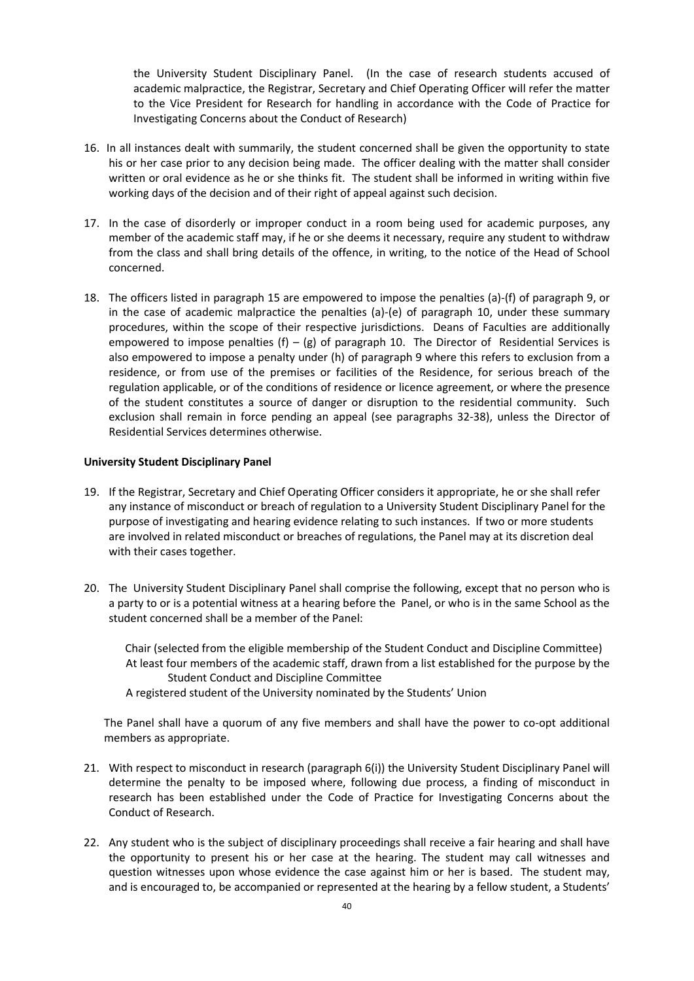the University Student Disciplinary Panel. (In the case of research students accused of academic malpractice, the Registrar, Secretary and Chief Operating Officer will refer the matter to the Vice President for Research for handling in accordance with the Code of Practice for Investigating Concerns about the Conduct of Research)

- 16. In all instances dealt with summarily, the student concerned shall be given the opportunity to state his or her case prior to any decision being made. The officer dealing with the matter shall consider written or oral evidence as he or she thinks fit. The student shall be informed in writing within five working days of the decision and of their right of appeal against such decision.
- 17. In the case of disorderly or improper conduct in a room being used for academic purposes, any member of the academic staff may, if he or she deems it necessary, require any student to withdraw from the class and shall bring details of the offence, in writing, to the notice of the Head of School concerned.
- 18. The officers listed in paragraph 15 are empowered to impose the penalties (a)-(f) of paragraph 9, or in the case of academic malpractice the penalties (a)-(e) of paragraph 10, under these summary procedures, within the scope of their respective jurisdictions. Deans of Faculties are additionally empowered to impose penalties (f) – (g) of paragraph 10. The Director of Residential Services is also empowered to impose a penalty under (h) of paragraph 9 where this refers to exclusion from a residence, or from use of the premises or facilities of the Residence, for serious breach of the regulation applicable, or of the conditions of residence or licence agreement, or where the presence of the student constitutes a source of danger or disruption to the residential community. Such exclusion shall remain in force pending an appeal (see paragraphs 32-38), unless the Director of Residential Services determines otherwise.

# **University Student Disciplinary Panel**

- 19. If the Registrar, Secretary and Chief Operating Officer considers it appropriate, he or she shall refer any instance of misconduct or breach of regulation to a University Student Disciplinary Panel for the purpose of investigating and hearing evidence relating to such instances. If two or more students are involved in related misconduct or breaches of regulations, the Panel may at its discretion deal with their cases together.
- 20. The University Student Disciplinary Panel shall comprise the following, except that no person who is a party to or is a potential witness at a hearing before the Panel, or who is in the same School as the student concerned shall be a member of the Panel:

Chair (selected from the eligible membership of the Student Conduct and Discipline Committee) At least four members of the academic staff, drawn from a list established for the purpose by the Student Conduct and Discipline Committee

A registered student of the University nominated by the Students' Union

The Panel shall have a quorum of any five members and shall have the power to co-opt additional members as appropriate.

- 21. With respect to misconduct in research (paragraph 6(i)) the University Student Disciplinary Panel will determine the penalty to be imposed where, following due process, a finding of misconduct in research has been established under the Code of Practice for Investigating Concerns about the Conduct of Research.
- 22. Any student who is the subject of disciplinary proceedings shall receive a fair hearing and shall have the opportunity to present his or her case at the hearing. The student may call witnesses and question witnesses upon whose evidence the case against him or her is based. The student may, and is encouraged to, be accompanied or represented at the hearing by a fellow student, a Students'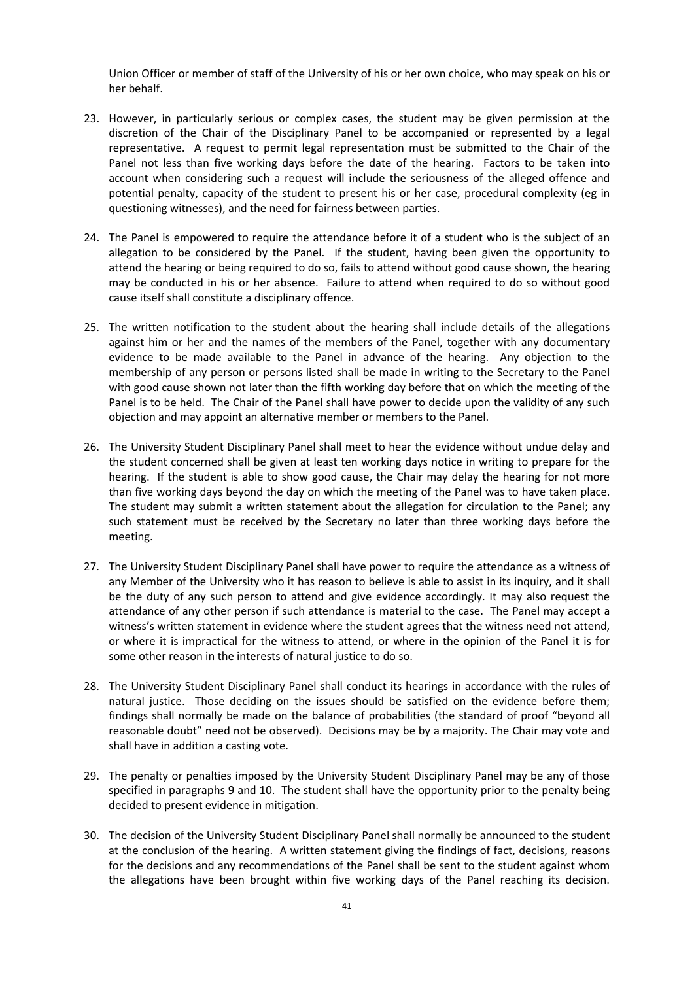Union Officer or member of staff of the University of his or her own choice, who may speak on his or her behalf.

- 23. However, in particularly serious or complex cases, the student may be given permission at the discretion of the Chair of the Disciplinary Panel to be accompanied or represented by a legal representative. A request to permit legal representation must be submitted to the Chair of the Panel not less than five working days before the date of the hearing. Factors to be taken into account when considering such a request will include the seriousness of the alleged offence and potential penalty, capacity of the student to present his or her case, procedural complexity (eg in questioning witnesses), and the need for fairness between parties.
- 24. The Panel is empowered to require the attendance before it of a student who is the subject of an allegation to be considered by the Panel. If the student, having been given the opportunity to attend the hearing or being required to do so, fails to attend without good cause shown, the hearing may be conducted in his or her absence. Failure to attend when required to do so without good cause itself shall constitute a disciplinary offence.
- 25. The written notification to the student about the hearing shall include details of the allegations against him or her and the names of the members of the Panel, together with any documentary evidence to be made available to the Panel in advance of the hearing. Any objection to the membership of any person or persons listed shall be made in writing to the Secretary to the Panel with good cause shown not later than the fifth working day before that on which the meeting of the Panel is to be held. The Chair of the Panel shall have power to decide upon the validity of any such objection and may appoint an alternative member or members to the Panel.
- 26. The University Student Disciplinary Panel shall meet to hear the evidence without undue delay and the student concerned shall be given at least ten working days notice in writing to prepare for the hearing. If the student is able to show good cause, the Chair may delay the hearing for not more than five working days beyond the day on which the meeting of the Panel was to have taken place. The student may submit a written statement about the allegation for circulation to the Panel; any such statement must be received by the Secretary no later than three working days before the meeting.
- 27. The University Student Disciplinary Panel shall have power to require the attendance as a witness of any Member of the University who it has reason to believe is able to assist in its inquiry, and it shall be the duty of any such person to attend and give evidence accordingly. It may also request the attendance of any other person if such attendance is material to the case. The Panel may accept a witness's written statement in evidence where the student agrees that the witness need not attend, or where it is impractical for the witness to attend, or where in the opinion of the Panel it is for some other reason in the interests of natural justice to do so.
- 28. The University Student Disciplinary Panel shall conduct its hearings in accordance with the rules of natural justice. Those deciding on the issues should be satisfied on the evidence before them; findings shall normally be made on the balance of probabilities (the standard of proof "beyond all reasonable doubt" need not be observed). Decisions may be by a majority. The Chair may vote and shall have in addition a casting vote.
- 29. The penalty or penalties imposed by the University Student Disciplinary Panel may be any of those specified in paragraphs 9 and 10. The student shall have the opportunity prior to the penalty being decided to present evidence in mitigation.
- 30. The decision of the University Student Disciplinary Panel shall normally be announced to the student at the conclusion of the hearing. A written statement giving the findings of fact, decisions, reasons for the decisions and any recommendations of the Panel shall be sent to the student against whom the allegations have been brought within five working days of the Panel reaching its decision.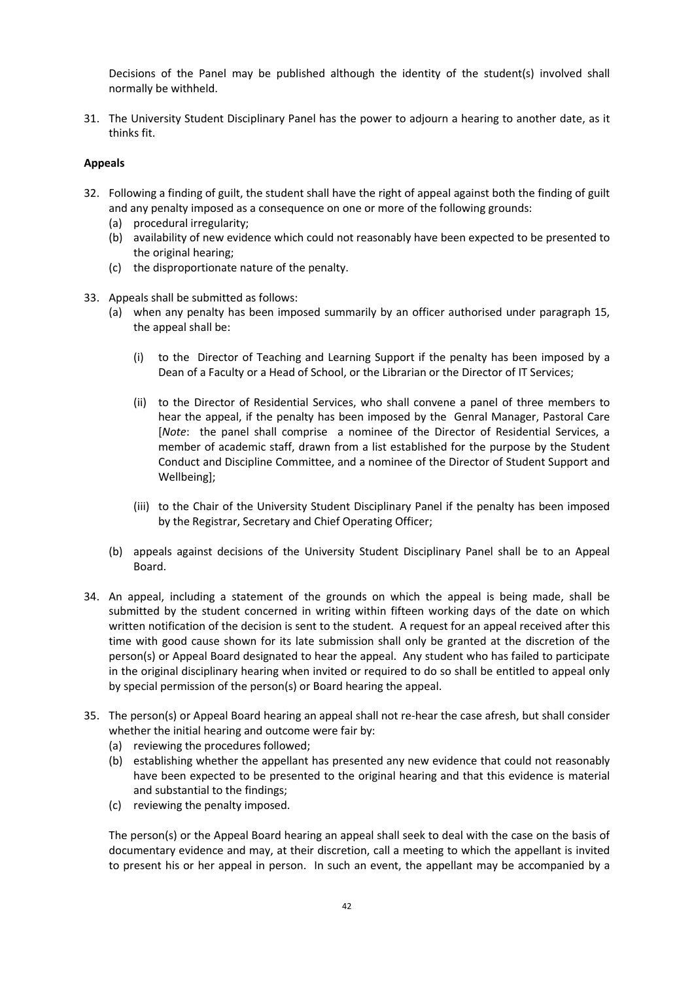Decisions of the Panel may be published although the identity of the student(s) involved shall normally be withheld.

31. The University Student Disciplinary Panel has the power to adjourn a hearing to another date, as it thinks fit.

# **Appeals**

- 32. Following a finding of guilt, the student shall have the right of appeal against both the finding of guilt and any penalty imposed as a consequence on one or more of the following grounds:
	- (a) procedural irregularity;
	- (b) availability of new evidence which could not reasonably have been expected to be presented to the original hearing;
	- (c) the disproportionate nature of the penalty.
- 33. Appeals shall be submitted as follows:
	- (a) when any penalty has been imposed summarily by an officer authorised under paragraph 15, the appeal shall be:
		- (i) to the Director of Teaching and Learning Support if the penalty has been imposed by a Dean of a Faculty or a Head of School, or the Librarian or the Director of IT Services;
		- (ii) to the Director of Residential Services, who shall convene a panel of three members to hear the appeal, if the penalty has been imposed by the Genral Manager, Pastoral Care [*Note*: the panel shall comprise a nominee of the Director of Residential Services, a member of academic staff, drawn from a list established for the purpose by the Student Conduct and Discipline Committee, and a nominee of the Director of Student Support and Wellbeing];
		- (iii) to the Chair of the University Student Disciplinary Panel if the penalty has been imposed by the Registrar, Secretary and Chief Operating Officer;
	- (b) appeals against decisions of the University Student Disciplinary Panel shall be to an Appeal Board.
- 34. An appeal, including a statement of the grounds on which the appeal is being made, shall be submitted by the student concerned in writing within fifteen working days of the date on which written notification of the decision is sent to the student. A request for an appeal received after this time with good cause shown for its late submission shall only be granted at the discretion of the person(s) or Appeal Board designated to hear the appeal. Any student who has failed to participate in the original disciplinary hearing when invited or required to do so shall be entitled to appeal only by special permission of the person(s) or Board hearing the appeal.
- 35. The person(s) or Appeal Board hearing an appeal shall not re-hear the case afresh, but shall consider whether the initial hearing and outcome were fair by:
	- (a) reviewing the procedures followed;
	- (b) establishing whether the appellant has presented any new evidence that could not reasonably have been expected to be presented to the original hearing and that this evidence is material and substantial to the findings;
	- (c) reviewing the penalty imposed.

The person(s) or the Appeal Board hearing an appeal shall seek to deal with the case on the basis of documentary evidence and may, at their discretion, call a meeting to which the appellant is invited to present his or her appeal in person. In such an event, the appellant may be accompanied by a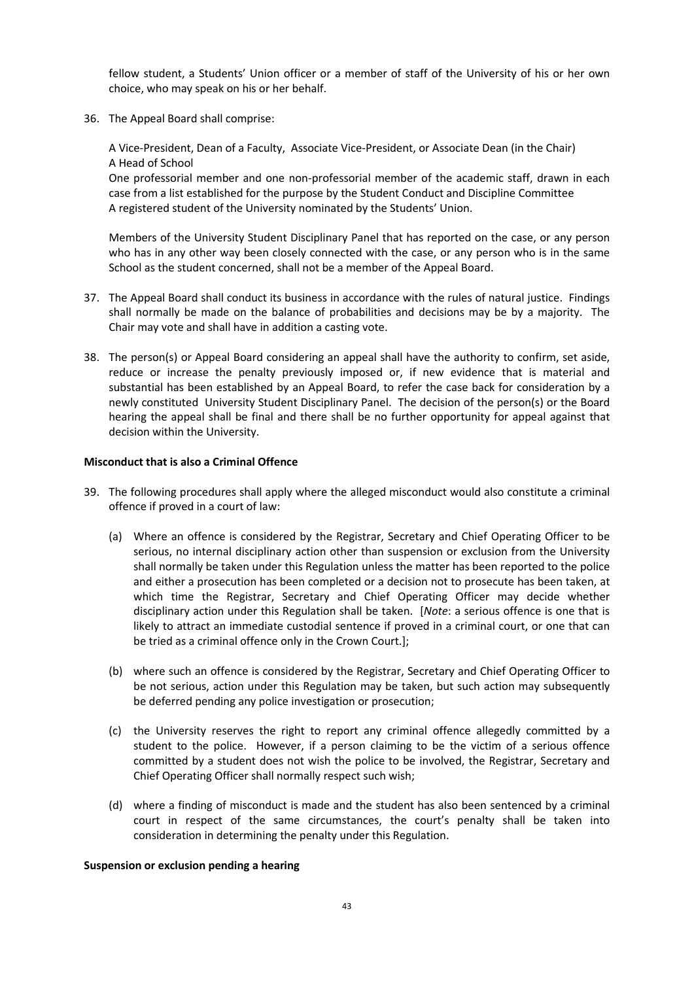fellow student, a Students' Union officer or a member of staff of the University of his or her own choice, who may speak on his or her behalf.

36. The Appeal Board shall comprise:

A Vice-President, Dean of a Faculty, Associate Vice-President, or Associate Dean (in the Chair) A Head of School

One professorial member and one non-professorial member of the academic staff, drawn in each case from a list established for the purpose by the Student Conduct and Discipline Committee A registered student of the University nominated by the Students' Union.

Members of the University Student Disciplinary Panel that has reported on the case, or any person who has in any other way been closely connected with the case, or any person who is in the same School as the student concerned, shall not be a member of the Appeal Board.

- 37. The Appeal Board shall conduct its business in accordance with the rules of natural justice. Findings shall normally be made on the balance of probabilities and decisions may be by a majority. The Chair may vote and shall have in addition a casting vote.
- 38. The person(s) or Appeal Board considering an appeal shall have the authority to confirm, set aside, reduce or increase the penalty previously imposed or, if new evidence that is material and substantial has been established by an Appeal Board, to refer the case back for consideration by a newly constituted University Student Disciplinary Panel. The decision of the person(s) or the Board hearing the appeal shall be final and there shall be no further opportunity for appeal against that decision within the University.

### **Misconduct that is also a Criminal Offence**

- 39. The following procedures shall apply where the alleged misconduct would also constitute a criminal offence if proved in a court of law:
	- (a) Where an offence is considered by the Registrar, Secretary and Chief Operating Officer to be serious, no internal disciplinary action other than suspension or exclusion from the University shall normally be taken under this Regulation unless the matter has been reported to the police and either a prosecution has been completed or a decision not to prosecute has been taken, at which time the Registrar, Secretary and Chief Operating Officer may decide whether disciplinary action under this Regulation shall be taken. [*Note*: a serious offence is one that is likely to attract an immediate custodial sentence if proved in a criminal court, or one that can be tried as a criminal offence only in the Crown Court.];
	- (b) where such an offence is considered by the Registrar, Secretary and Chief Operating Officer to be not serious, action under this Regulation may be taken, but such action may subsequently be deferred pending any police investigation or prosecution;
	- (c) the University reserves the right to report any criminal offence allegedly committed by a student to the police. However, if a person claiming to be the victim of a serious offence committed by a student does not wish the police to be involved, the Registrar, Secretary and Chief Operating Officer shall normally respect such wish;
	- (d) where a finding of misconduct is made and the student has also been sentenced by a criminal court in respect of the same circumstances, the court's penalty shall be taken into consideration in determining the penalty under this Regulation.

### **Suspension or exclusion pending a hearing**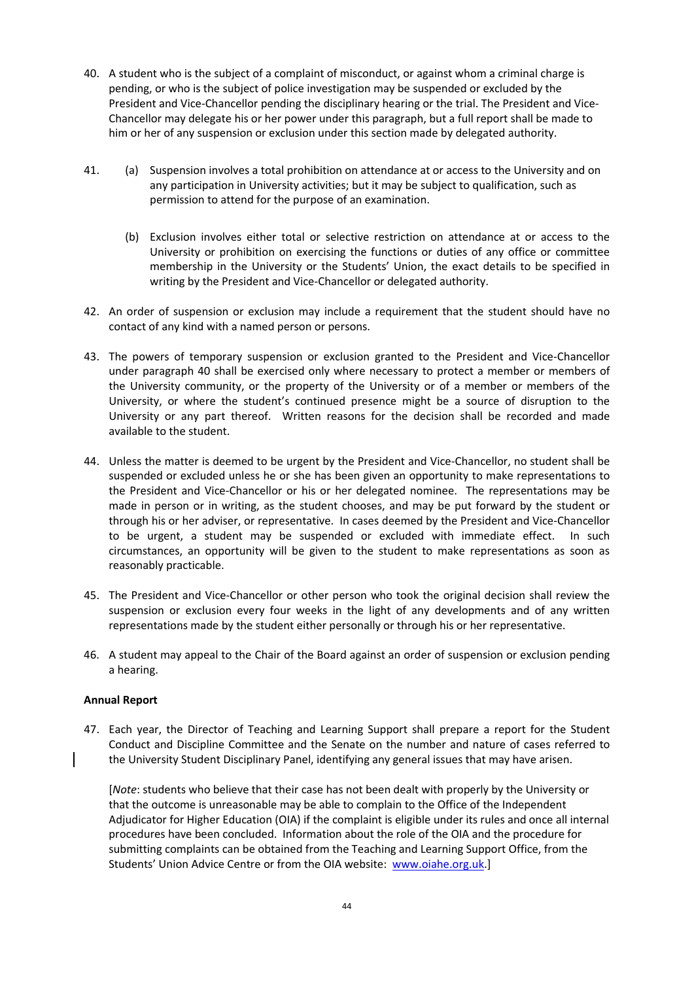- 40. A student who is the subject of a complaint of misconduct, or against whom a criminal charge is pending, or who is the subject of police investigation may be suspended or excluded by the President and Vice-Chancellor pending the disciplinary hearing or the trial. The President and Vice-Chancellor may delegate his or her power under this paragraph, but a full report shall be made to him or her of any suspension or exclusion under this section made by delegated authority.
- 41. (a) Suspension involves a total prohibition on attendance at or access to the University and on any participation in University activities; but it may be subject to qualification, such as permission to attend for the purpose of an examination.
	- (b) Exclusion involves either total or selective restriction on attendance at or access to the University or prohibition on exercising the functions or duties of any office or committee membership in the University or the Students' Union, the exact details to be specified in writing by the President and Vice-Chancellor or delegated authority.
- 42. An order of suspension or exclusion may include a requirement that the student should have no contact of any kind with a named person or persons.
- 43. The powers of temporary suspension or exclusion granted to the President and Vice-Chancellor under paragraph 40 shall be exercised only where necessary to protect a member or members of the University community, or the property of the University or of a member or members of the University, or where the student's continued presence might be a source of disruption to the University or any part thereof. Written reasons for the decision shall be recorded and made available to the student.
- 44. Unless the matter is deemed to be urgent by the President and Vice-Chancellor, no student shall be suspended or excluded unless he or she has been given an opportunity to make representations to the President and Vice-Chancellor or his or her delegated nominee. The representations may be made in person or in writing, as the student chooses, and may be put forward by the student or through his or her adviser, or representative. In cases deemed by the President and Vice-Chancellor to be urgent, a student may be suspended or excluded with immediate effect. In such circumstances, an opportunity will be given to the student to make representations as soon as reasonably practicable.
- 45. The President and Vice-Chancellor or other person who took the original decision shall review the suspension or exclusion every four weeks in the light of any developments and of any written representations made by the student either personally or through his or her representative.
- 46. A student may appeal to the Chair of the Board against an order of suspension or exclusion pending a hearing.

### **Annual Report**

47. Each year, the Director of Teaching and Learning Support shall prepare a report for the Student Conduct and Discipline Committee and the Senate on the number and nature of cases referred to the University Student Disciplinary Panel, identifying any general issues that may have arisen.

[*Note*: students who believe that their case has not been dealt with properly by the University or that the outcome is unreasonable may be able to complain to the Office of the Independent Adjudicator for Higher Education (OIA) if the complaint is eligible under its rules and once all internal procedures have been concluded. Information about the role of the OIA and the procedure for submitting complaints can be obtained from the Teaching and Learning Support Office, from the Students' Union Advice Centre or from the OIA website: [www.oiahe.org.uk.](http://www.oiahe.org.uk/)]